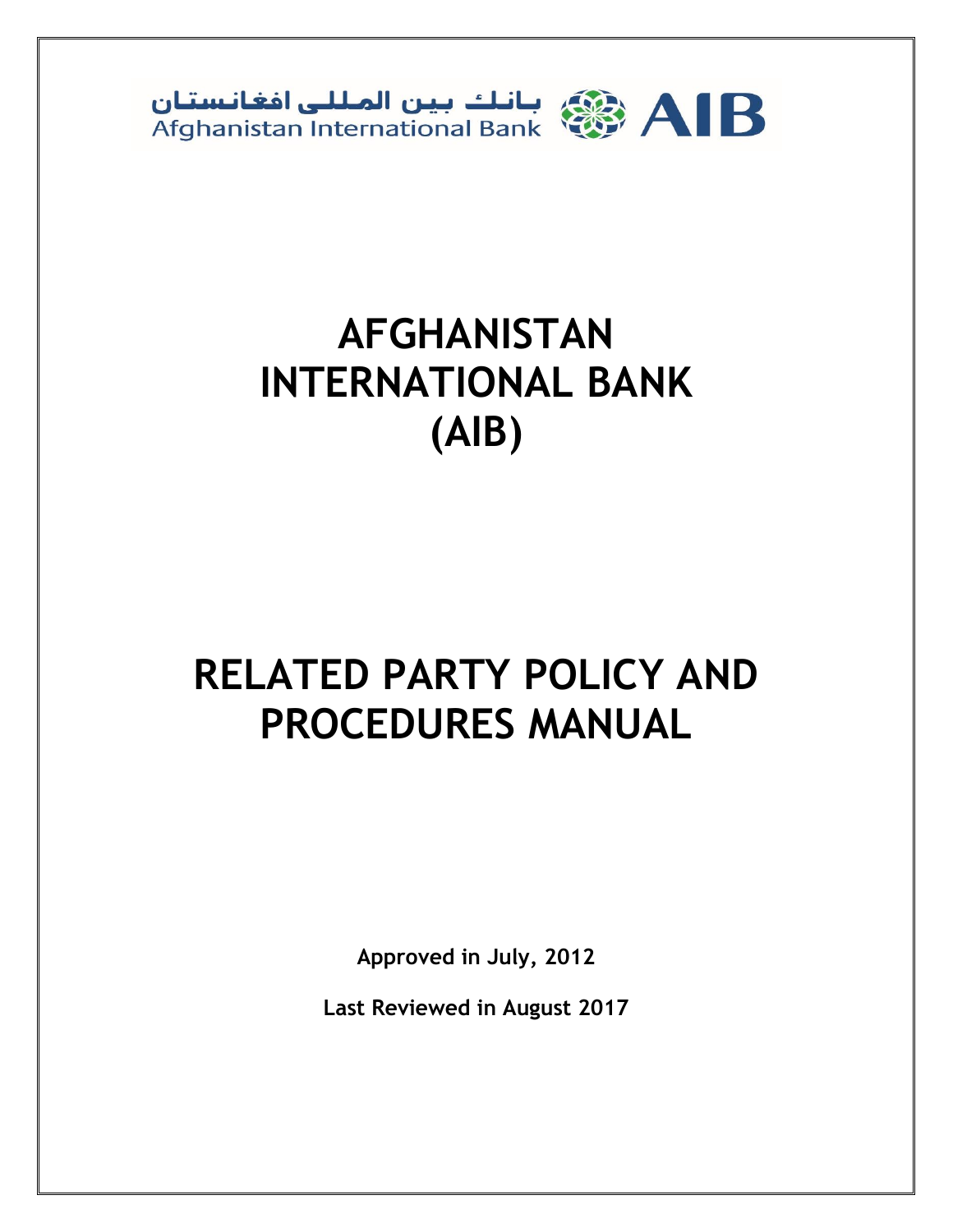

# **AFGHANISTAN INTERNATIONAL BANK (AIB)**

# **RELATED PARTY POLICY AND PROCEDURES MANUAL**

**Approved in July, 2012**

**Last Reviewed in August 2017**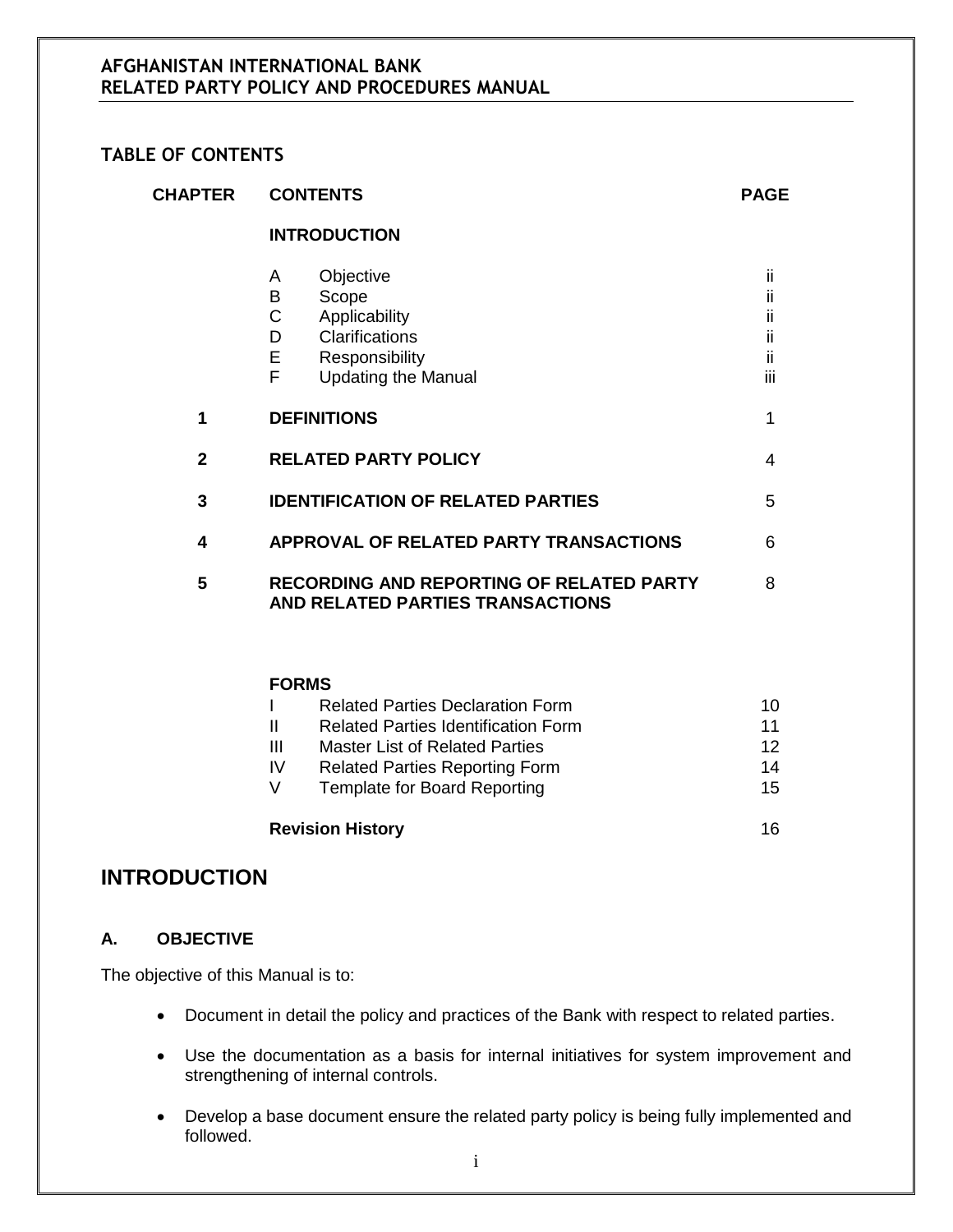#### **TABLE OF CONTENTS**

| <b>CHAPTER</b> | <b>CONTENTS</b>                                                                                                                     | <b>PAGE</b>                   |
|----------------|-------------------------------------------------------------------------------------------------------------------------------------|-------------------------------|
|                | <b>INTRODUCTION</b>                                                                                                                 |                               |
|                | Objective<br>A<br>Scope<br>В<br>C<br>Applicability<br>Clarifications<br>D<br>Е<br>Responsibility<br>F<br><b>Updating the Manual</b> | ii<br>Ш<br>П<br>н<br>Ш<br>iii |
| 1              | <b>DEFINITIONS</b>                                                                                                                  | 1                             |
| $\mathbf{2}$   | <b>RELATED PARTY POLICY</b>                                                                                                         | 4                             |
| 3              | <b>IDENTIFICATION OF RELATED PARTIES</b>                                                                                            | 5                             |
| 4              | APPROVAL OF RELATED PARTY TRANSACTIONS                                                                                              | 6                             |
| 5              | <b>RECORDING AND REPORTING OF RELATED PARTY</b><br>AND RELATED PARTIES TRANSACTIONS                                                 | 8                             |

## **FORMS**

|    | <b>Related Parties Declaration Form</b>    | 10 |
|----|--------------------------------------------|----|
|    | <b>Related Parties Identification Form</b> | 11 |
| Ш  | Master List of Related Parties             | 12 |
| IV | <b>Related Parties Reporting Form</b>      | 14 |
|    | <b>Template for Board Reporting</b>        | 15 |
|    |                                            |    |
|    |                                            |    |

# **Revision History** 16

## **INTRODUCTION**

#### **A. OBJECTIVE**

The objective of this Manual is to:

- Document in detail the policy and practices of the Bank with respect to related parties.
- Use the documentation as a basis for internal initiatives for system improvement and strengthening of internal controls.
- Develop a base document ensure the related party policy is being fully implemented and followed.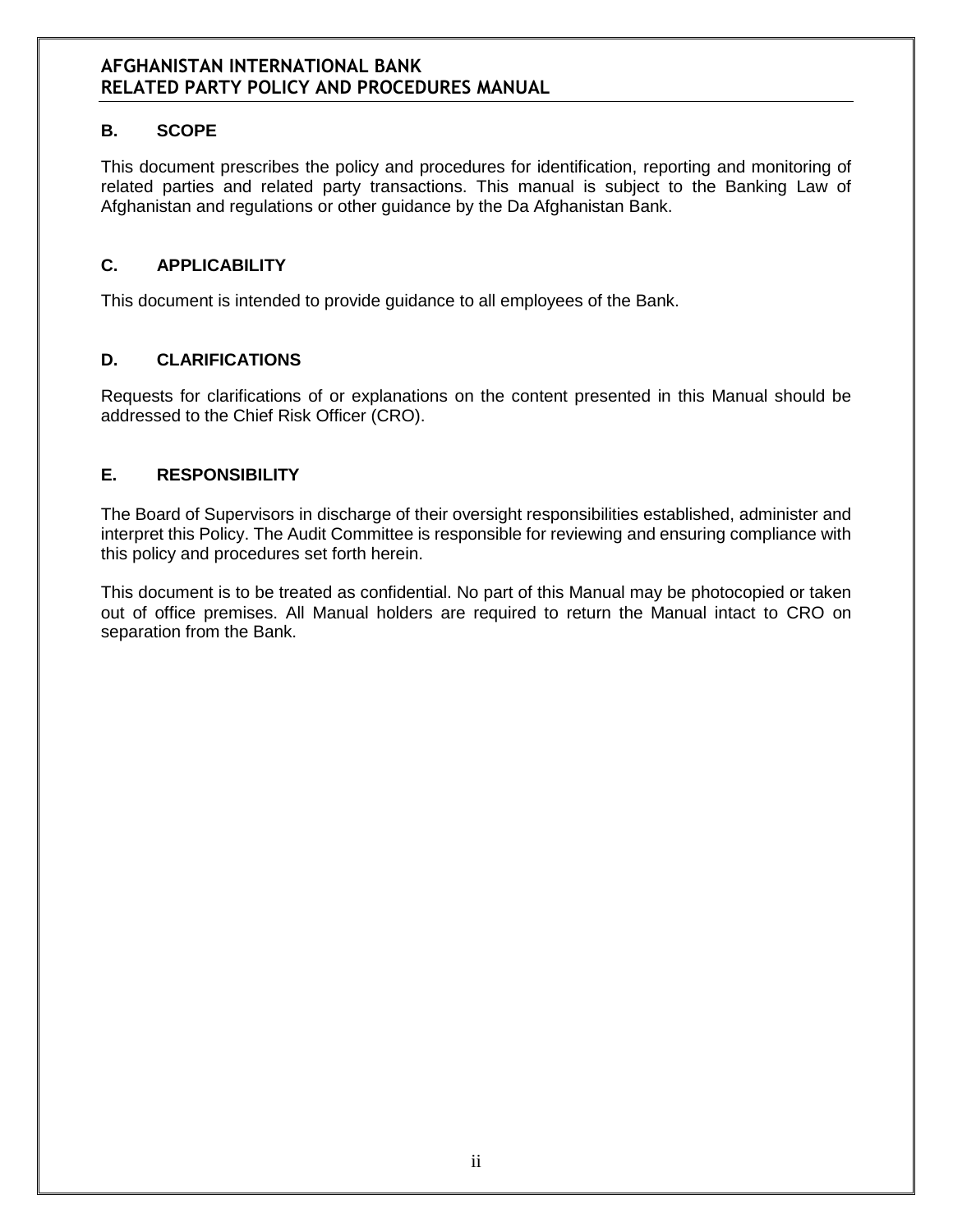## **B. SCOPE**

This document prescribes the policy and procedures for identification, reporting and monitoring of related parties and related party transactions. This manual is subject to the Banking Law of Afghanistan and regulations or other guidance by the Da Afghanistan Bank.

#### **C. APPLICABILITY**

This document is intended to provide guidance to all employees of the Bank.

## **D. CLARIFICATIONS**

Requests for clarifications of or explanations on the content presented in this Manual should be addressed to the Chief Risk Officer (CRO).

## **E. RESPONSIBILITY**

The Board of Supervisors in discharge of their oversight responsibilities established, administer and interpret this Policy. The Audit Committee is responsible for reviewing and ensuring compliance with this policy and procedures set forth herein.

This document is to be treated as confidential. No part of this Manual may be photocopied or taken out of office premises. All Manual holders are required to return the Manual intact to CRO on separation from the Bank.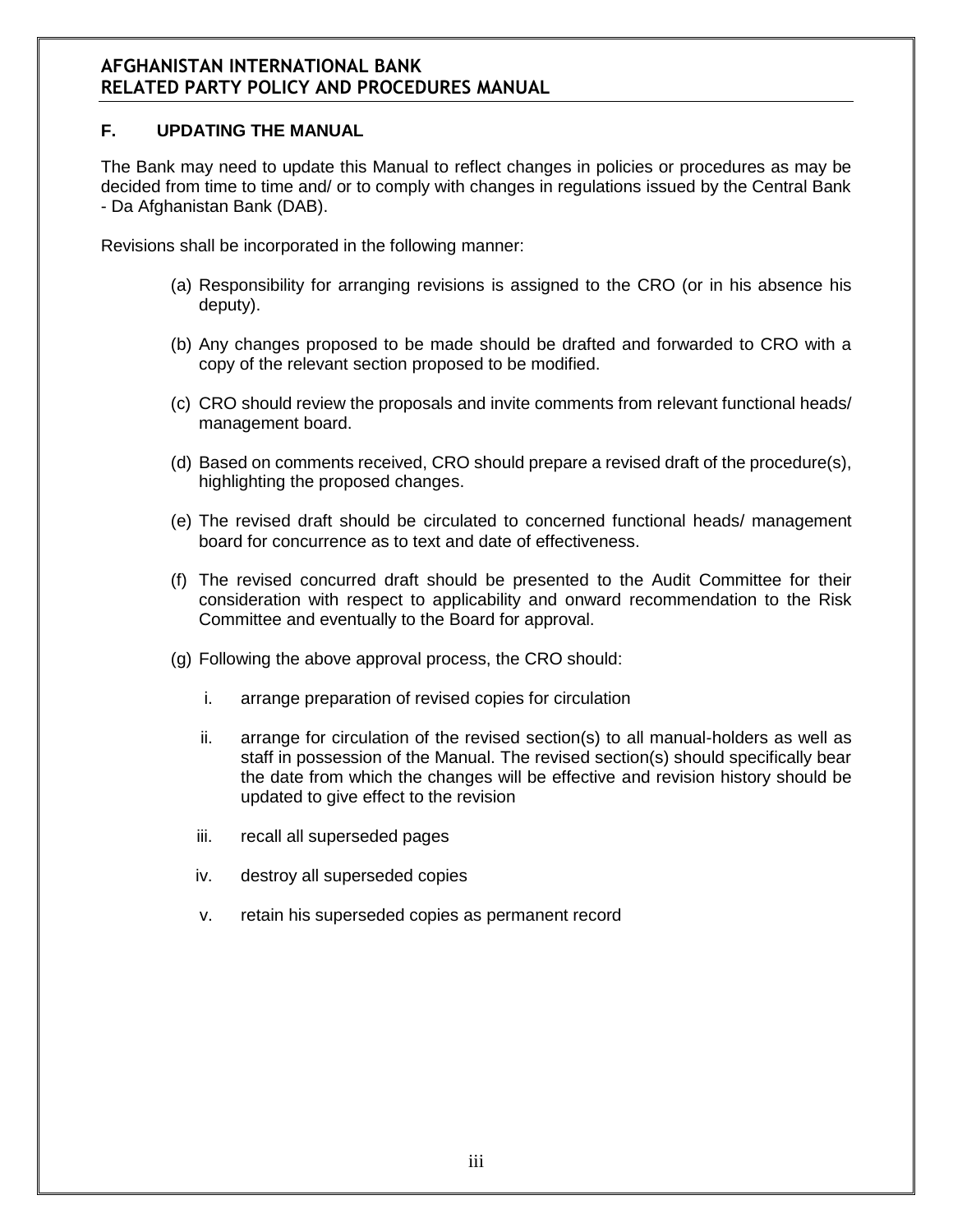#### **F. UPDATING THE MANUAL**

The Bank may need to update this Manual to reflect changes in policies or procedures as may be decided from time to time and/ or to comply with changes in regulations issued by the Central Bank - Da Afghanistan Bank (DAB).

Revisions shall be incorporated in the following manner:

- (a) Responsibility for arranging revisions is assigned to the CRO (or in his absence his deputy).
- (b) Any changes proposed to be made should be drafted and forwarded to CRO with a copy of the relevant section proposed to be modified.
- (c) CRO should review the proposals and invite comments from relevant functional heads/ management board.
- (d) Based on comments received, CRO should prepare a revised draft of the procedure(s), highlighting the proposed changes.
- (e) The revised draft should be circulated to concerned functional heads/ management board for concurrence as to text and date of effectiveness.
- (f) The revised concurred draft should be presented to the Audit Committee for their consideration with respect to applicability and onward recommendation to the Risk Committee and eventually to the Board for approval.
- (g) Following the above approval process, the CRO should:
	- i. arrange preparation of revised copies for circulation
	- ii. arrange for circulation of the revised section(s) to all manual-holders as well as staff in possession of the Manual. The revised section(s) should specifically bear the date from which the changes will be effective and revision history should be updated to give effect to the revision
	- iii. recall all superseded pages
	- iv. destroy all superseded copies
	- v. retain his superseded copies as permanent record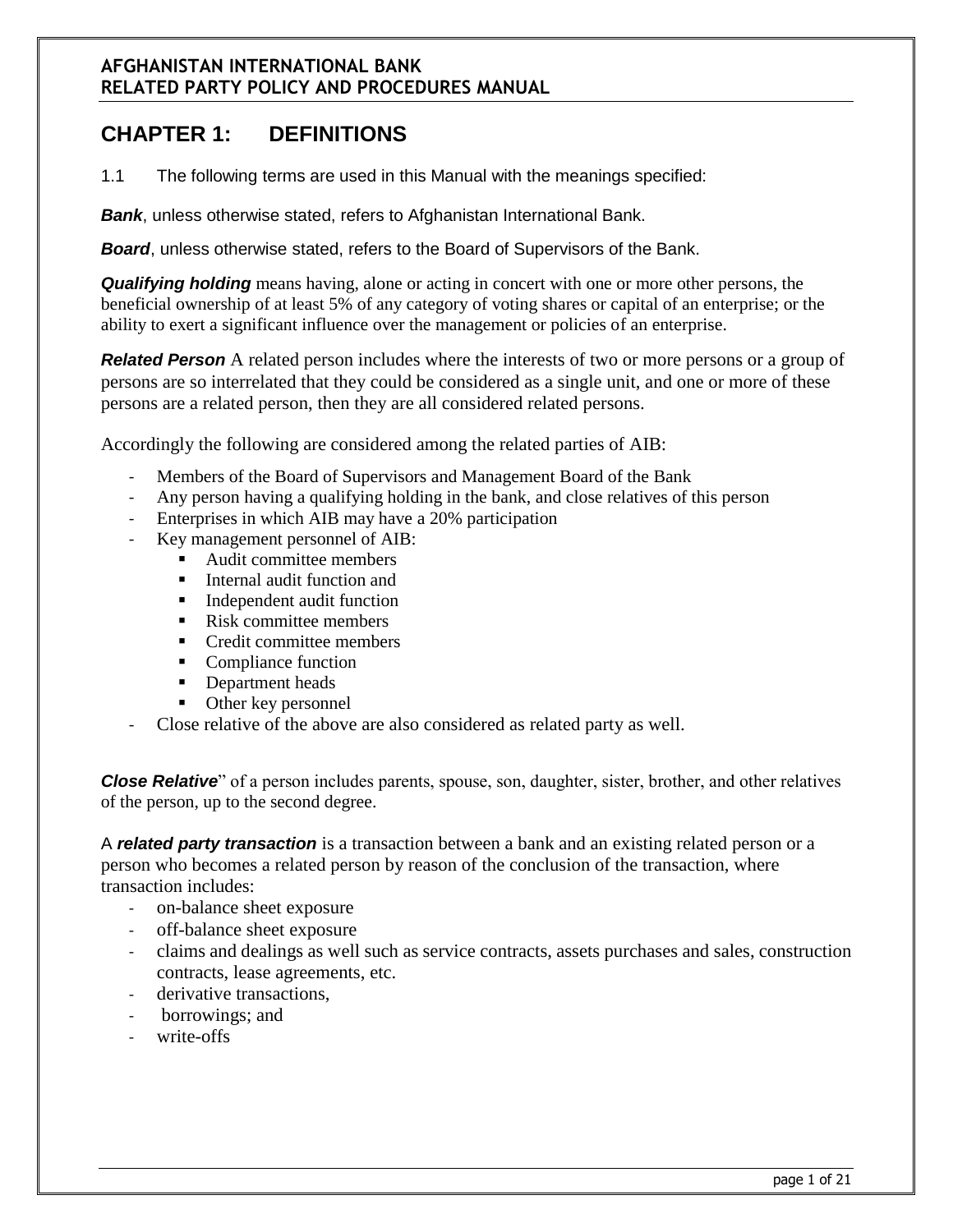# **CHAPTER 1: DEFINITIONS**

1.1 The following terms are used in this Manual with the meanings specified:

*Bank*, unless otherwise stated, refers to Afghanistan International Bank.

*Board*, unless otherwise stated, refers to the Board of Supervisors of the Bank.

*Qualifying holding* means having, alone or acting in concert with one or more other persons, the beneficial ownership of at least 5% of any category of voting shares or capital of an enterprise; or the ability to exert a significant influence over the management or policies of an enterprise.

*Related Person* A related person includes where the interests of two or more persons or a group of persons are so interrelated that they could be considered as a single unit, and one or more of these persons are a related person, then they are all considered related persons.

Accordingly the following are considered among the related parties of AIB:

- Members of the Board of Supervisors and Management Board of the Bank
- Any person having a qualifying holding in the bank, and close relatives of this person
- Enterprises in which AIB may have a 20% participation
- Key management personnel of AIB:
	- Audit committee members
	- Internal audit function and
	- Independent audit function
	- Risk committee members
	- Credit committee members
	- Compliance function
	- Department heads
	- Other key personnel
- Close relative of the above are also considered as related party as well.

*Close Relative* of a person includes parents, spouse, son, daughter, sister, brother, and other relatives of the person, up to the second degree.

A *related party transaction* is a transaction between a bank and an existing related person or a person who becomes a related person by reason of the conclusion of the transaction, where transaction includes:

- on-balance sheet exposure
- off-balance sheet exposure
- claims and dealings as well such as service contracts, assets purchases and sales, construction contracts, lease agreements, etc.
- derivative transactions,
- borrowings; and
- write-offs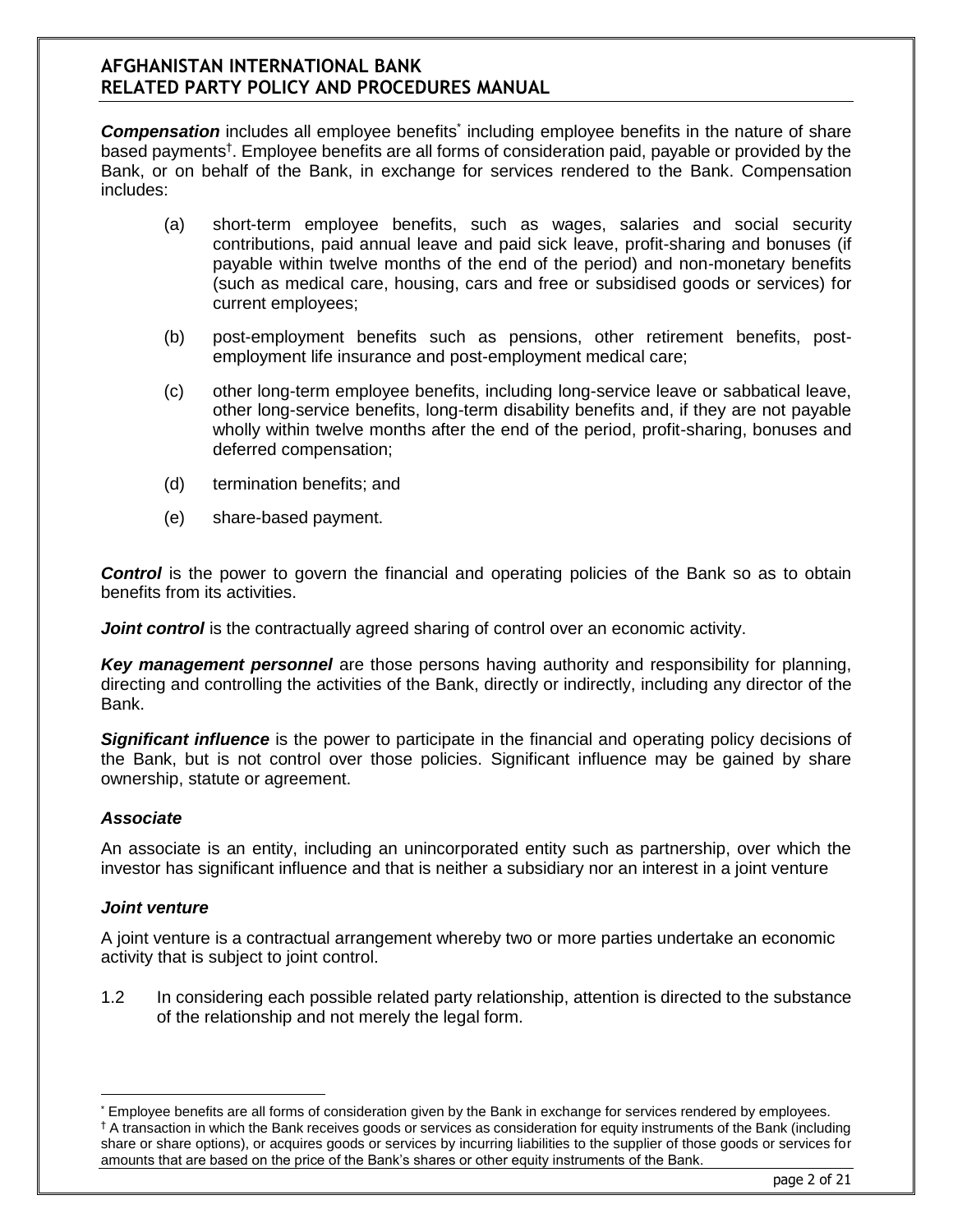**Compensation** includes all employee benefits<sup>\*</sup> including employee benefits in the nature of share based payments† . Employee benefits are all forms of consideration paid, payable or provided by the Bank, or on behalf of the Bank, in exchange for services rendered to the Bank. Compensation includes:

- (a) short-term employee benefits, such as wages, salaries and social security contributions, paid annual leave and paid sick leave, profit-sharing and bonuses (if payable within twelve months of the end of the period) and non-monetary benefits (such as medical care, housing, cars and free or subsidised goods or services) for current employees;
- (b) post-employment benefits such as pensions, other retirement benefits, postemployment life insurance and post-employment medical care;
- (c) other long-term employee benefits, including long-service leave or sabbatical leave, other long-service benefits, long-term disability benefits and, if they are not payable wholly within twelve months after the end of the period, profit-sharing, bonuses and deferred compensation;
- (d) termination benefits; and
- (e) share-based payment.

**Control** is the power to govern the financial and operating policies of the Bank so as to obtain benefits from its activities.

*Joint control* is the contractually agreed sharing of control over an economic activity.

*Key management personnel* are those persons having authority and responsibility for planning, directing and controlling the activities of the Bank, directly or indirectly, including any director of the Bank.

*Significant influence* is the power to participate in the financial and operating policy decisions of the Bank, but is not control over those policies. Significant influence may be gained by share ownership, statute or agreement.

#### *Associate*

An associate is an entity, including an unincorporated entity such as partnership, over which the investor has significant influence and that is neither a subsidiary nor an interest in a joint venture

#### *Joint venture*

 $\overline{a}$ 

A joint venture is a contractual arrangement whereby two or more parties undertake an economic activity that is subject to joint control.

1.2 In considering each possible related party relationship, attention is directed to the substance of the relationship and not merely the legal form.

<sup>\*</sup> Employee benefits are all forms of consideration given by the Bank in exchange for services rendered by employees. † A transaction in which the Bank receives goods or services as consideration for equity instruments of the Bank (including share or share options), or acquires goods or services by incurring liabilities to the supplier of those goods or services for amounts that are based on the price of the Bank's shares or other equity instruments of the Bank.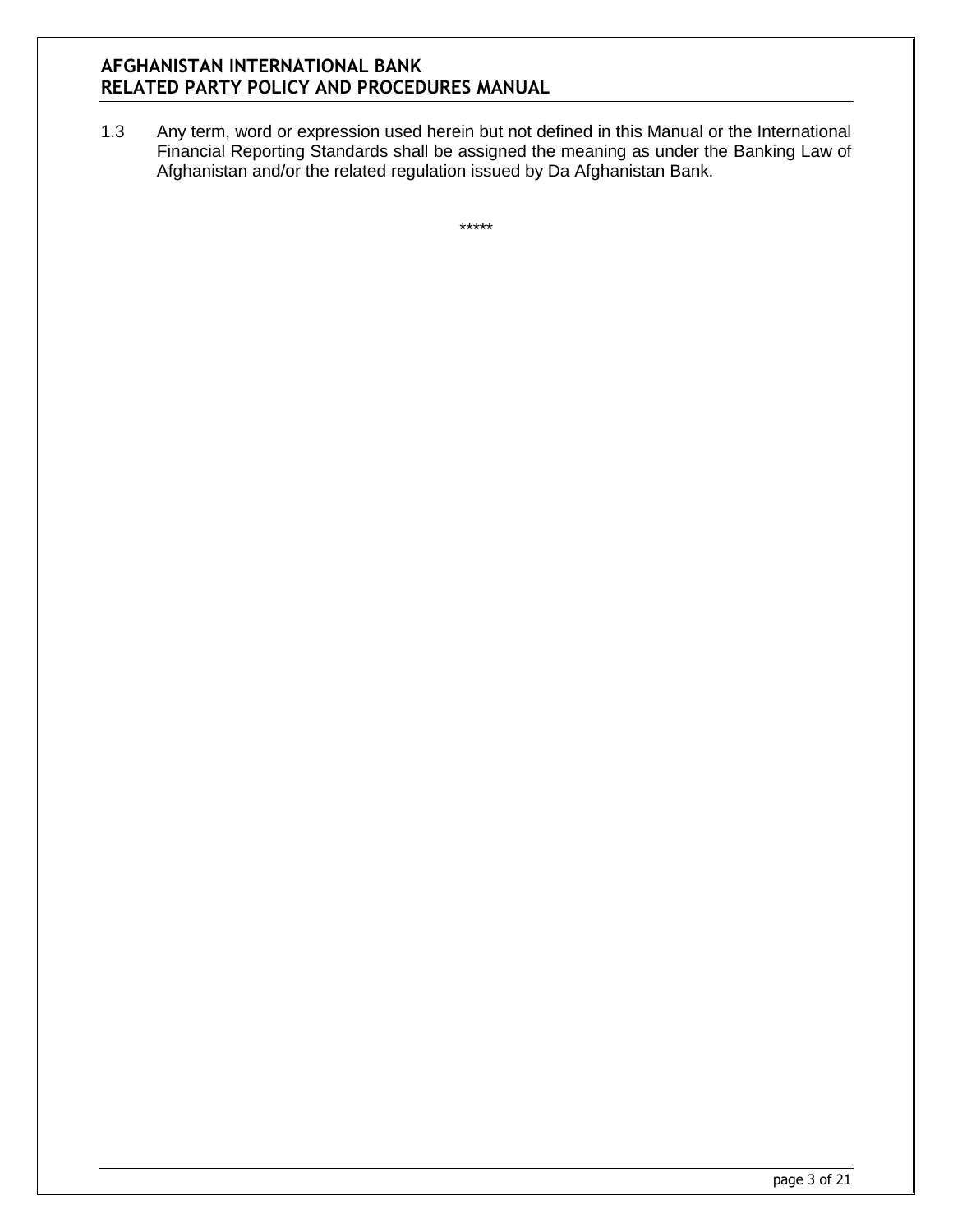1.3 Any term, word or expression used herein but not defined in this Manual or the International Financial Reporting Standards shall be assigned the meaning as under the Banking Law of Afghanistan and/or the related regulation issued by Da Afghanistan Bank.

\*\*\*\*\*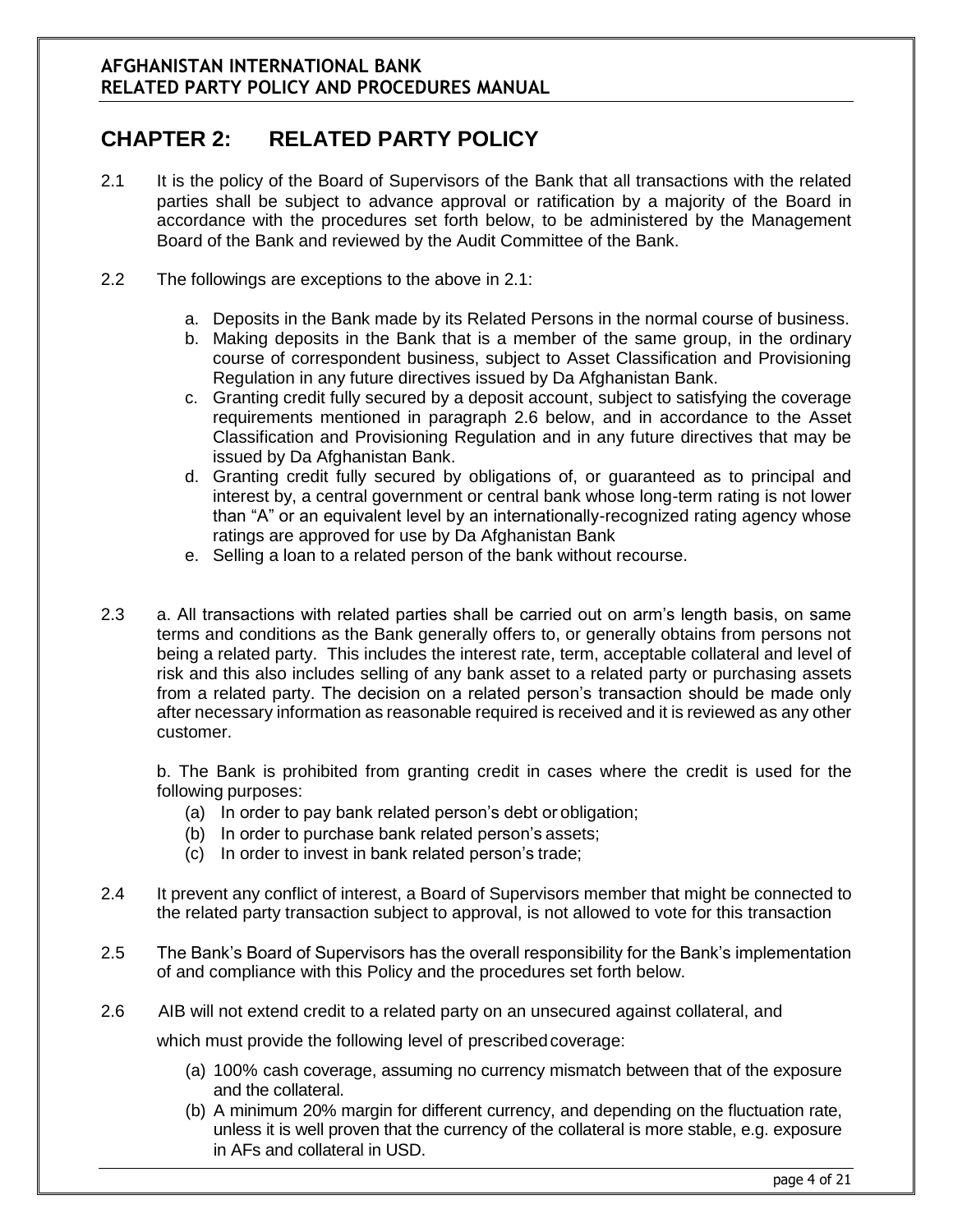# **CHAPTER 2: RELATED PARTY POLICY**

- 2.1 It is the policy of the Board of Supervisors of the Bank that all transactions with the related parties shall be subject to advance approval or ratification by a majority of the Board in accordance with the procedures set forth below, to be administered by the Management Board of the Bank and reviewed by the Audit Committee of the Bank.
- 2.2 The followings are exceptions to the above in 2.1:
	- a. Deposits in the Bank made by its Related Persons in the normal course of business.
	- b. Making deposits in the Bank that is a member of the same group, in the ordinary course of correspondent business, subject to Asset Classification and Provisioning Regulation in any future directives issued by Da Afghanistan Bank.
	- c. Granting credit fully secured by a deposit account, subject to satisfying the coverage requirements mentioned in paragraph 2.6 below, and in accordance to the Asset Classification and Provisioning Regulation and in any future directives that may be issued by Da Afghanistan Bank.
	- d. Granting credit fully secured by obligations of, or guaranteed as to principal and interest by, a central government or central bank whose long-term rating is not lower than "A" or an equivalent level by an internationally-recognized rating agency whose ratings are approved for use by Da Afghanistan Bank
	- e. Selling a loan to a related person of the bank without recourse.
- 2.3 a. All transactions with related parties shall be carried out on arm's length basis, on same terms and conditions as the Bank generally offers to, or generally obtains from persons not being a related party. This includes the interest rate, term, acceptable collateral and level of risk and this also includes selling of any bank asset to a related party or purchasing assets from a related party. The decision on a related person's transaction should be made only after necessary information as reasonable required is received and it is reviewed as any other customer.

b. The Bank is prohibited from granting credit in cases where the credit is used for the following purposes:

- (a) In order to pay bank related person's debt or obligation;
- (b) In order to purchase bank related person's assets;
- (c) In order to invest in bank related person's trade;
- 2.4 It prevent any conflict of interest, a Board of Supervisors member that might be connected to the related party transaction subject to approval, is not allowed to vote for this transaction
- 2.5 The Bank's Board of Supervisors has the overall responsibility for the Bank's implementation of and compliance with this Policy and the procedures set forth below.
- 2.6 AIB will not extend credit to a related party on an unsecured against collateral, and which must provide the following level of prescribed coverage:
	- (a) 100% cash coverage, assuming no currency mismatch between that of the exposure and the collateral.
	- (b) A minimum 20% margin for different currency, and depending on the fluctuation rate, unless it is well proven that the currency of the collateral is more stable, e.g. exposure in AFs and collateral in USD.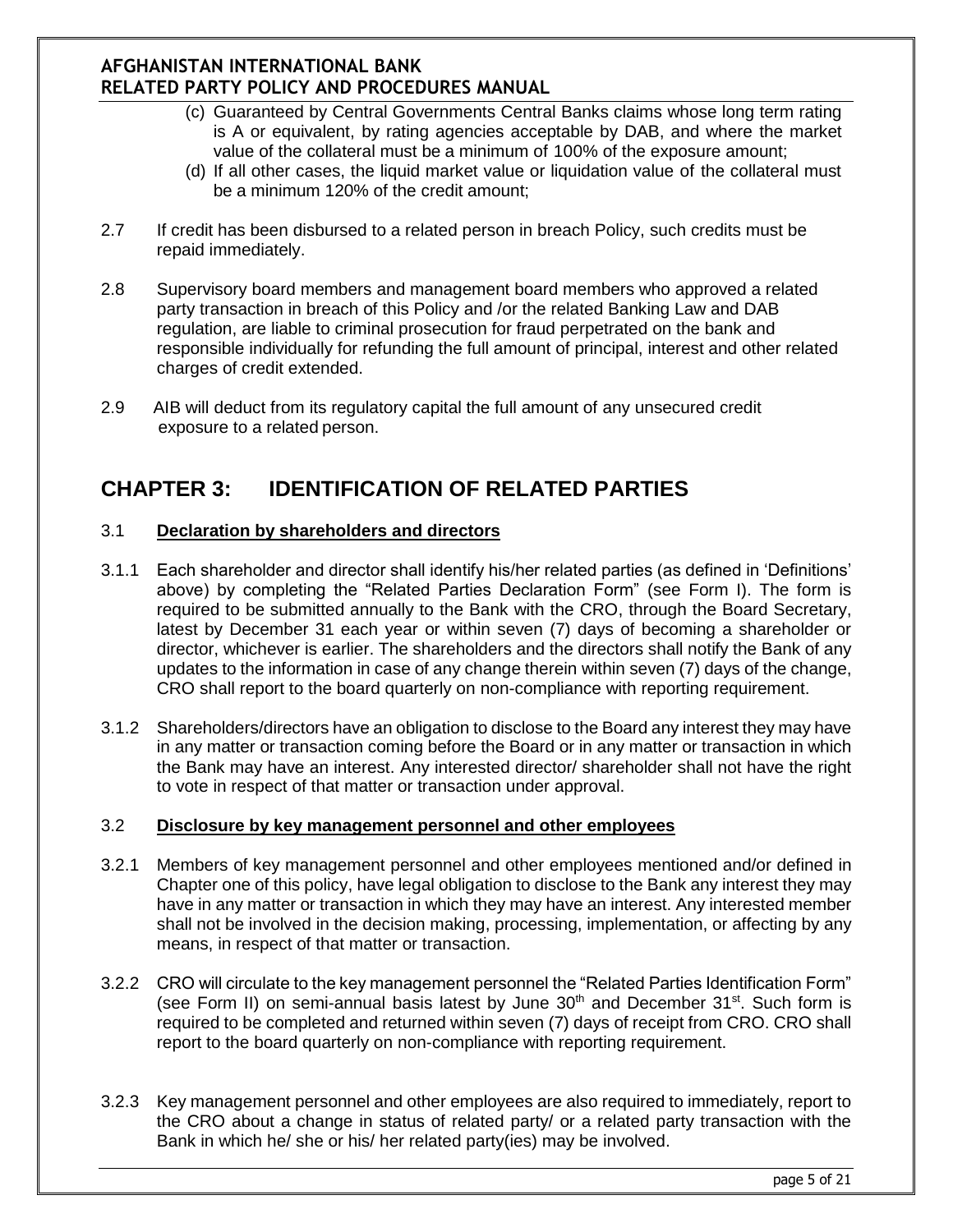- (c) Guaranteed by Central Governments Central Banks claims whose long term rating is A or equivalent, by rating agencies acceptable by DAB, and where the market value of the collateral must be a minimum of 100% of the exposure amount;
- (d) If all other cases, the liquid market value or liquidation value of the collateral must be a minimum 120% of the credit amount;
- 2.7 If credit has been disbursed to a related person in breach Policy, such credits must be repaid immediately.
- 2.8 Supervisory board members and management board members who approved a related party transaction in breach of this Policy and /or the related Banking Law and DAB regulation, are liable to criminal prosecution for fraud perpetrated on the bank and responsible individually for refunding the full amount of principal, interest and other related charges of credit extended.
- 2.9 AIB will deduct from its regulatory capital the full amount of any unsecured credit exposure to a related person.

# **CHAPTER 3: IDENTIFICATION OF RELATED PARTIES**

#### 3.1 **Declaration by shareholders and directors**

- 3.1.1 Each shareholder and director shall identify his/her related parties (as defined in 'Definitions' above) by completing the "Related Parties Declaration Form" (see Form I). The form is required to be submitted annually to the Bank with the CRO, through the Board Secretary, latest by December 31 each year or within seven (7) days of becoming a shareholder or director, whichever is earlier. The shareholders and the directors shall notify the Bank of any updates to the information in case of any change therein within seven (7) days of the change, CRO shall report to the board quarterly on non-compliance with reporting requirement.
- 3.1.2 Shareholders/directors have an obligation to disclose to the Board any interest they may have in any matter or transaction coming before the Board or in any matter or transaction in which the Bank may have an interest. Any interested director/ shareholder shall not have the right to vote in respect of that matter or transaction under approval.

#### 3.2 **Disclosure by key management personnel and other employees**

- 3.2.1 Members of key management personnel and other employees mentioned and/or defined in Chapter one of this policy, have legal obligation to disclose to the Bank any interest they may have in any matter or transaction in which they may have an interest. Any interested member shall not be involved in the decision making, processing, implementation, or affecting by any means, in respect of that matter or transaction.
- 3.2.2 CRO will circulate to the key management personnel the "Related Parties Identification Form" (see Form II) on semi-annual basis latest by June  $30<sup>th</sup>$  and December  $31<sup>st</sup>$ . Such form is required to be completed and returned within seven (7) days of receipt from CRO. CRO shall report to the board quarterly on non-compliance with reporting requirement.
- 3.2.3 Key management personnel and other employees are also required to immediately, report to the CRO about a change in status of related party/ or a related party transaction with the Bank in which he/ she or his/ her related party(ies) may be involved.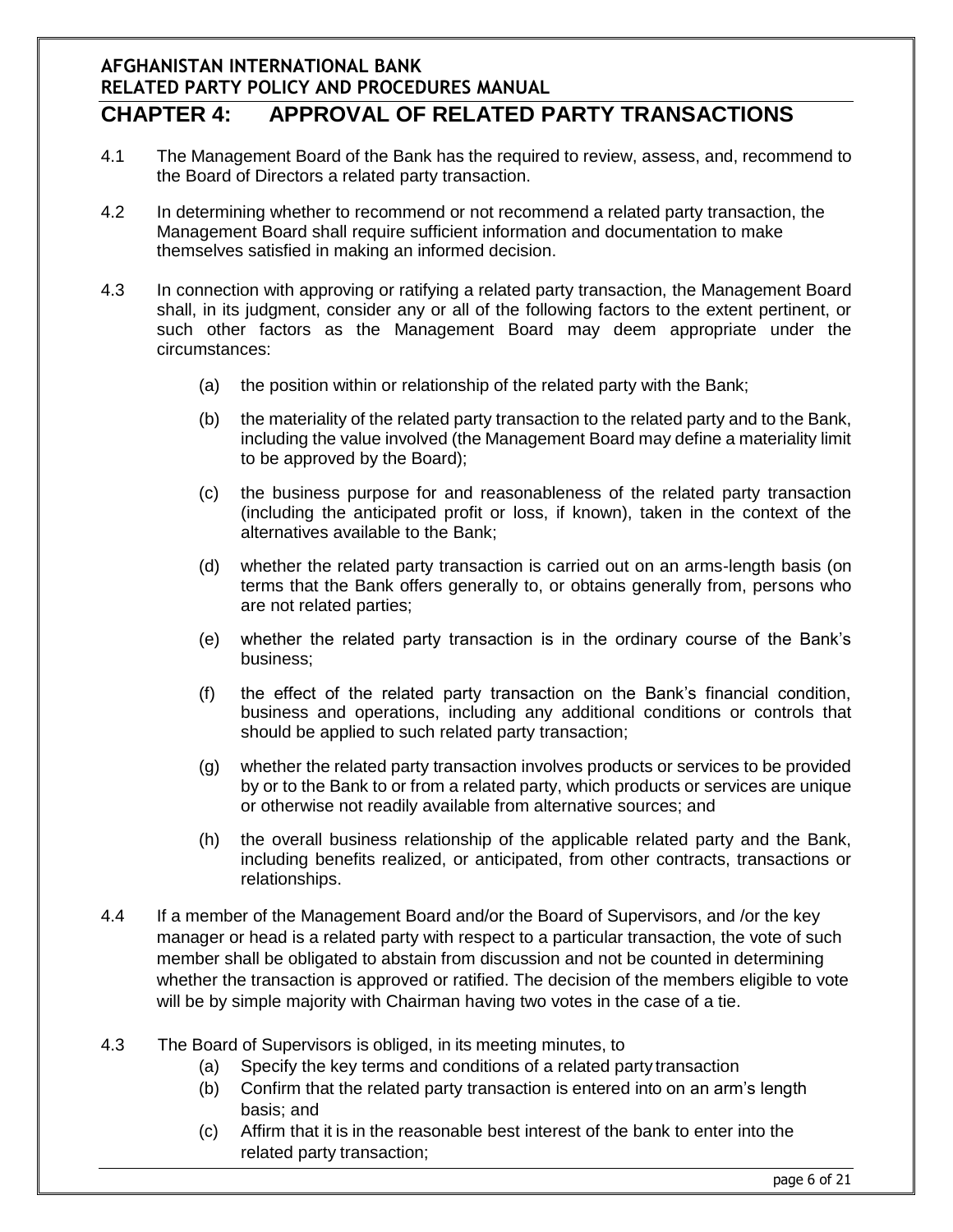#### **AFGHANISTAN INTERNATIONAL BANK RELATED PARTY POLICY AND PROCEDURES MANUAL CHAPTER 4: APPROVAL OF RELATED PARTY TRANSACTIONS**

- 4.1 The Management Board of the Bank has the required to review, assess, and, recommend to the Board of Directors a related party transaction.
- 4.2 In determining whether to recommend or not recommend a related party transaction, the Management Board shall require sufficient information and documentation to make themselves satisfied in making an informed decision.
- 4.3 In connection with approving or ratifying a related party transaction, the Management Board shall, in its judgment, consider any or all of the following factors to the extent pertinent, or such other factors as the Management Board may deem appropriate under the circumstances:
	- (a) the position within or relationship of the related party with the Bank;
	- (b) the materiality of the related party transaction to the related party and to the Bank, including the value involved (the Management Board may define a materiality limit to be approved by the Board);
	- (c) the business purpose for and reasonableness of the related party transaction (including the anticipated profit or loss, if known), taken in the context of the alternatives available to the Bank;
	- (d) whether the related party transaction is carried out on an arms-length basis (on terms that the Bank offers generally to, or obtains generally from, persons who are not related parties;
	- (e) whether the related party transaction is in the ordinary course of the Bank's business;
	- (f) the effect of the related party transaction on the Bank's financial condition, business and operations, including any additional conditions or controls that should be applied to such related party transaction;
	- (g) whether the related party transaction involves products or services to be provided by or to the Bank to or from a related party, which products or services are unique or otherwise not readily available from alternative sources; and
	- (h) the overall business relationship of the applicable related party and the Bank, including benefits realized, or anticipated, from other contracts, transactions or relationships.
- 4.4 If a member of the Management Board and/or the Board of Supervisors, and /or the key manager or head is a related party with respect to a particular transaction, the vote of such member shall be obligated to abstain from discussion and not be counted in determining whether the transaction is approved or ratified. The decision of the members eligible to vote will be by simple majority with Chairman having two votes in the case of a tie.
- 4.3 The Board of Supervisors is obliged, in its meeting minutes, to
	- (a) Specify the key terms and conditions of a related party transaction
	- (b) Confirm that the related party transaction is entered into on an arm's length basis; and
	- (c) Affirm that it is in the reasonable best interest of the bank to enter into the related party transaction;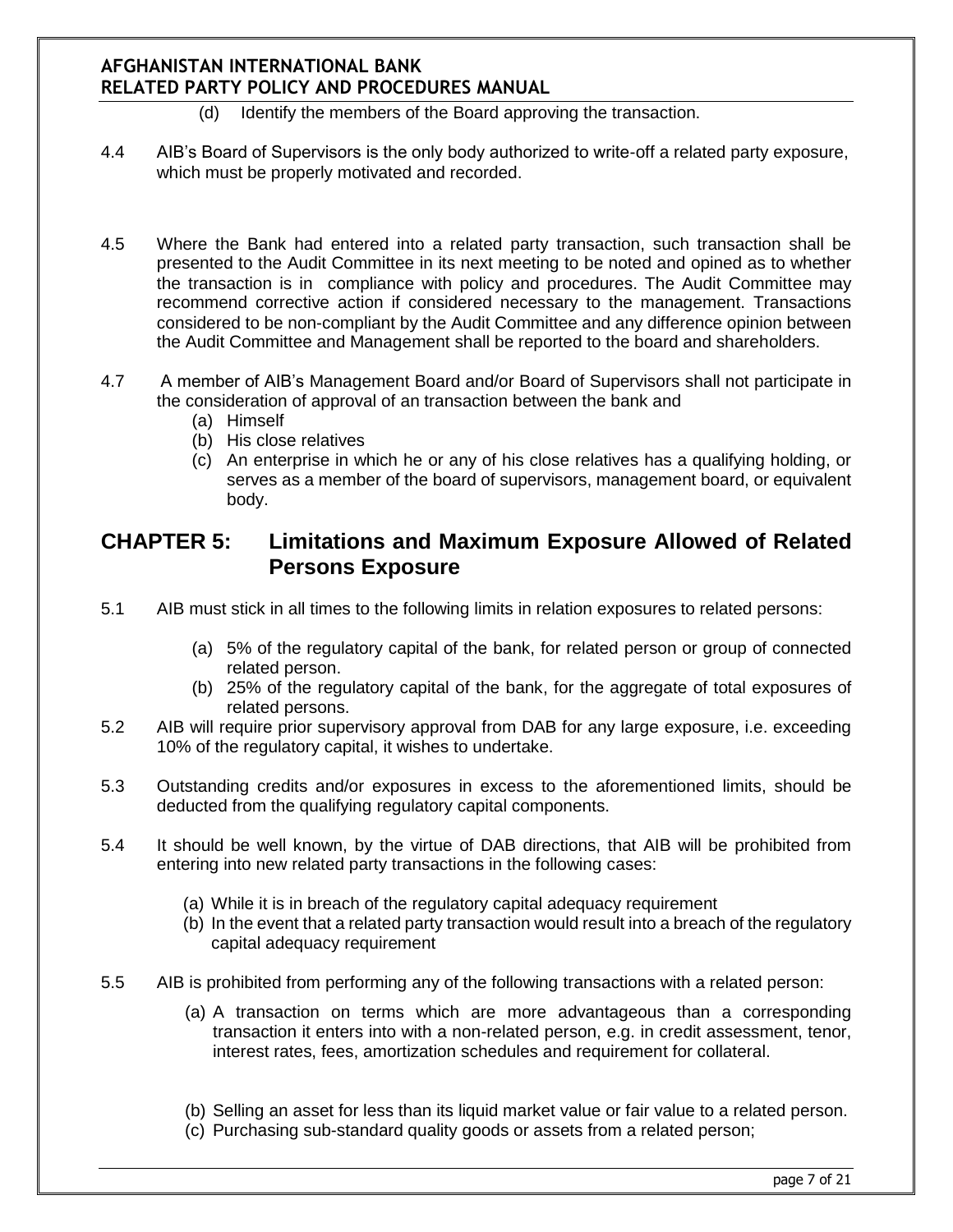- (d) Identify the members of the Board approving the transaction.
- 4.4 AIB's Board of Supervisors is the only body authorized to write-off a related party exposure, which must be properly motivated and recorded.
- 4.5 Where the Bank had entered into a related party transaction, such transaction shall be presented to the Audit Committee in its next meeting to be noted and opined as to whether the transaction is in compliance with policy and procedures. The Audit Committee may recommend corrective action if considered necessary to the management. Transactions considered to be non-compliant by the Audit Committee and any difference opinion between the Audit Committee and Management shall be reported to the board and shareholders.
- 4.7 A member of AIB's Management Board and/or Board of Supervisors shall not participate in the consideration of approval of an transaction between the bank and
	- (a) Himself
	- (b) His close relatives
	- (c) An enterprise in which he or any of his close relatives has a qualifying holding, or serves as a member of the board of supervisors, management board, or equivalent body.

## **CHAPTER 5: Limitations and Maximum Exposure Allowed of Related Persons Exposure**

- 5.1 AIB must stick in all times to the following limits in relation exposures to related persons:
	- (a) 5% of the regulatory capital of the bank, for related person or group of connected related person.
	- (b) 25% of the regulatory capital of the bank, for the aggregate of total exposures of related persons.
- 5.2 AIB will require prior supervisory approval from DAB for any large exposure, i.e. exceeding 10% of the regulatory capital, it wishes to undertake.
- 5.3 Outstanding credits and/or exposures in excess to the aforementioned limits, should be deducted from the qualifying regulatory capital components.
- 5.4 It should be well known, by the virtue of DAB directions, that AIB will be prohibited from entering into new related party transactions in the following cases:
	- (a) While it is in breach of the regulatory capital adequacy requirement
	- (b) In the event that a related party transaction would result into a breach of the regulatory capital adequacy requirement
- 5.5 AIB is prohibited from performing any of the following transactions with a related person:
	- (a) A transaction on terms which are more advantageous than a corresponding transaction it enters into with a non-related person, e.g. in credit assessment, tenor, interest rates, fees, amortization schedules and requirement for collateral.
	- (b) Selling an asset for less than its liquid market value or fair value to a related person.
	- (c) Purchasing sub-standard quality goods or assets from a related person;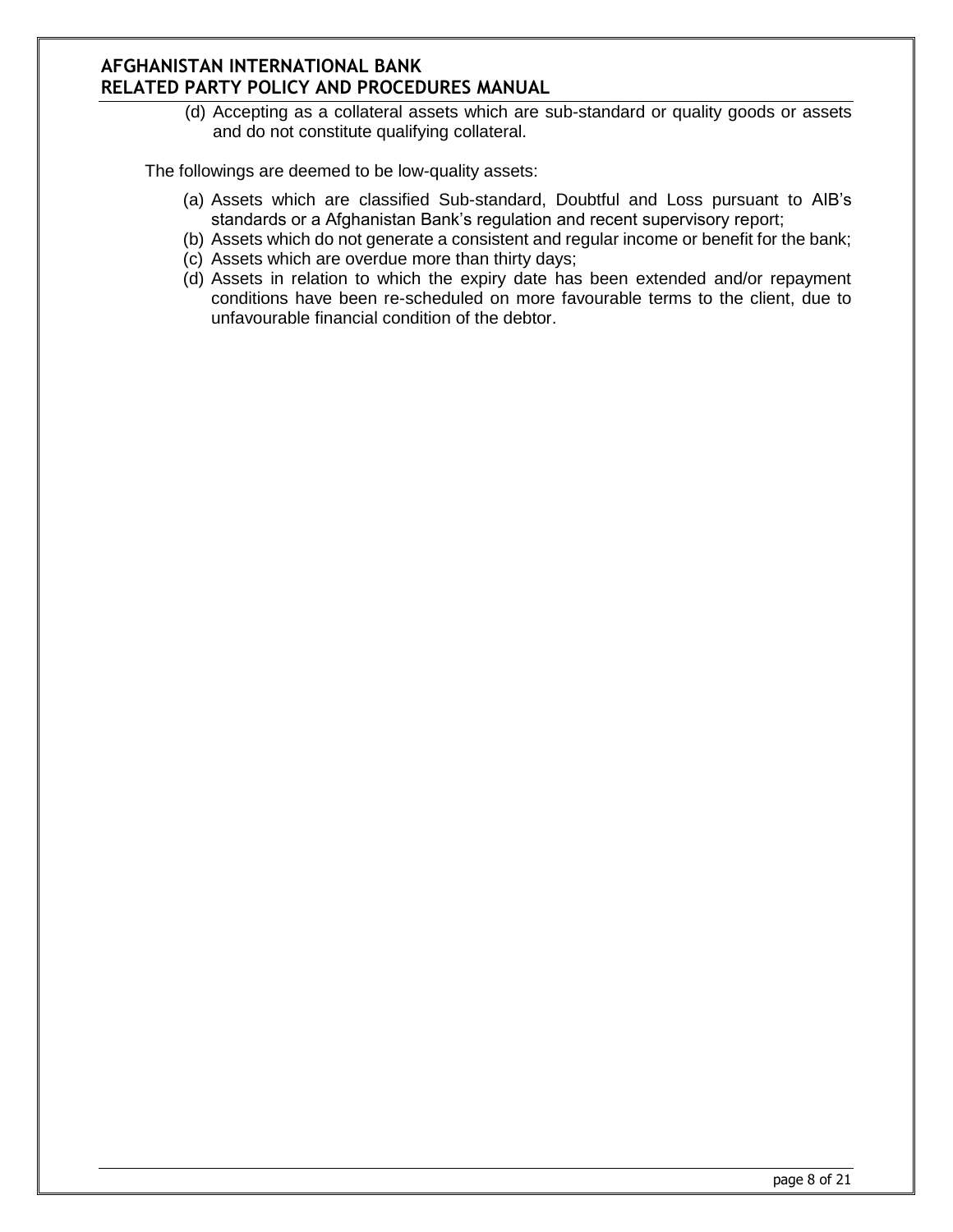(d) Accepting as a collateral assets which are sub-standard or quality goods or assets and do not constitute qualifying collateral.

The followings are deemed to be low-quality assets:

- (a) Assets which are classified Sub-standard, Doubtful and Loss pursuant to AIB's standards or a Afghanistan Bank's regulation and recent supervisory report;
- (b) Assets which do not generate a consistent and regular income or benefit for the bank;
- (c) Assets which are overdue more than thirty days;
- (d) Assets in relation to which the expiry date has been extended and/or repayment conditions have been re-scheduled on more favourable terms to the client, due to unfavourable financial condition of the debtor.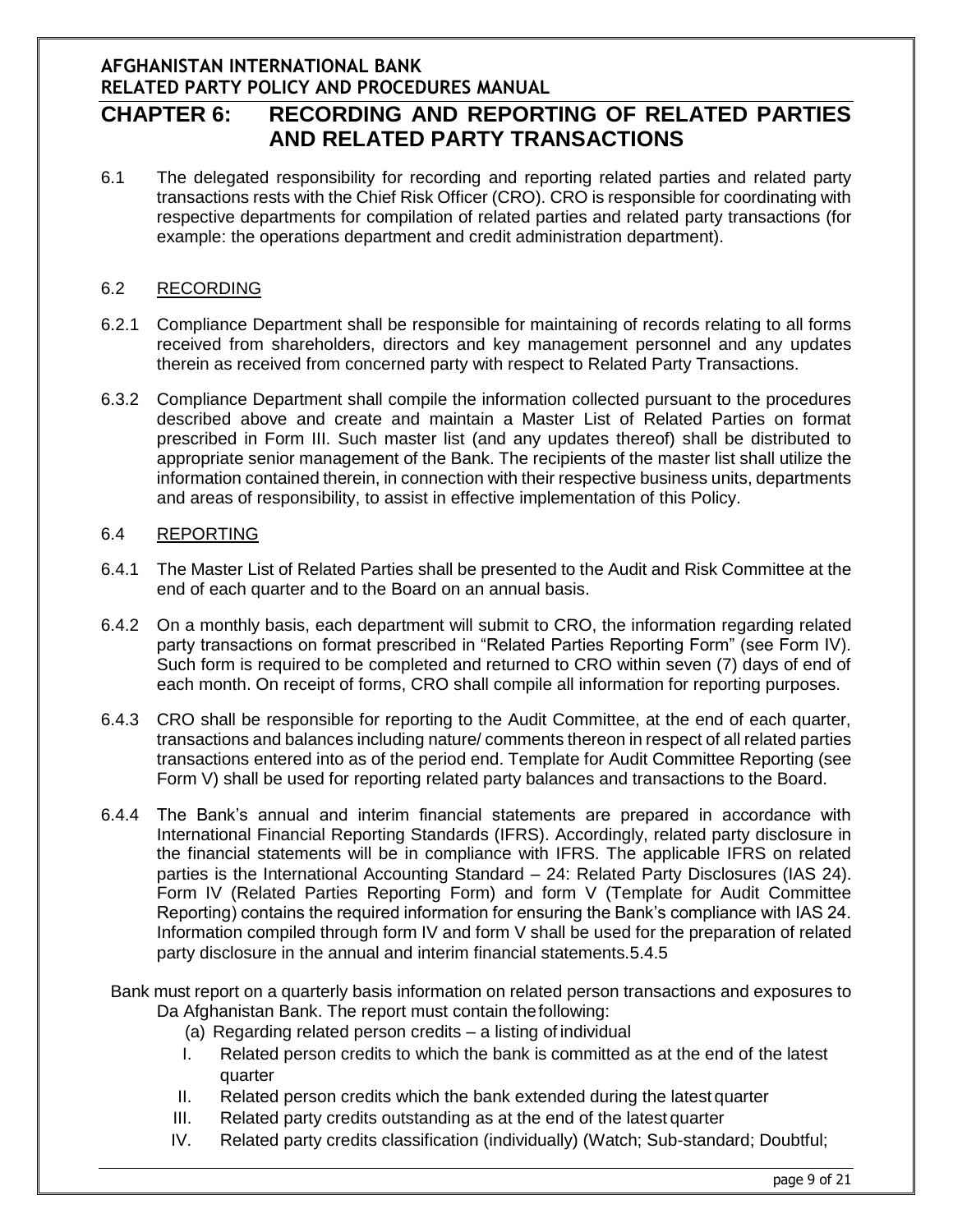# **CHAPTER 6: RECORDING AND REPORTING OF RELATED PARTIES AND RELATED PARTY TRANSACTIONS**

6.1 The delegated responsibility for recording and reporting related parties and related party transactions rests with the Chief Risk Officer (CRO). CRO is responsible for coordinating with respective departments for compilation of related parties and related party transactions (for example: the operations department and credit administration department).

#### 6.2 RECORDING

- 6.2.1 Compliance Department shall be responsible for maintaining of records relating to all forms received from shareholders, directors and key management personnel and any updates therein as received from concerned party with respect to Related Party Transactions.
- 6.3.2 Compliance Department shall compile the information collected pursuant to the procedures described above and create and maintain a Master List of Related Parties on format prescribed in Form III. Such master list (and any updates thereof) shall be distributed to appropriate senior management of the Bank. The recipients of the master list shall utilize the information contained therein, in connection with their respective business units, departments and areas of responsibility, to assist in effective implementation of this Policy.

#### 6.4 REPORTING

- 6.4.1 The Master List of Related Parties shall be presented to the Audit and Risk Committee at the end of each quarter and to the Board on an annual basis.
- 6.4.2 On a monthly basis, each department will submit to CRO, the information regarding related party transactions on format prescribed in "Related Parties Reporting Form" (see Form IV). Such form is required to be completed and returned to CRO within seven (7) days of end of each month. On receipt of forms, CRO shall compile all information for reporting purposes.
- 6.4.3 CRO shall be responsible for reporting to the Audit Committee, at the end of each quarter, transactions and balances including nature/ comments thereon in respect of all related parties transactions entered into as of the period end. Template for Audit Committee Reporting (see Form V) shall be used for reporting related party balances and transactions to the Board.
- 6.4.4 The Bank's annual and interim financial statements are prepared in accordance with International Financial Reporting Standards (IFRS). Accordingly, related party disclosure in the financial statements will be in compliance with IFRS. The applicable IFRS on related parties is the International Accounting Standard – 24: Related Party Disclosures (IAS 24). Form IV (Related Parties Reporting Form) and form V (Template for Audit Committee Reporting) contains the required information for ensuring the Bank's compliance with IAS 24. Information compiled through form IV and form V shall be used for the preparation of related party disclosure in the annual and interim financial statements.5.4.5
- Bank must report on a quarterly basis information on related person transactions and exposures to Da Afghanistan Bank. The report must contain thefollowing:
	- (a) Regarding related person credits a listing of individual
	- I. Related person credits to which the bank is committed as at the end of the latest quarter
	- II. Related person credits which the bank extended during the latest quarter
	- III. Related party credits outstanding as at the end of the latest quarter
	- IV. Related party credits classification (individually) (Watch; Sub-standard; Doubtful;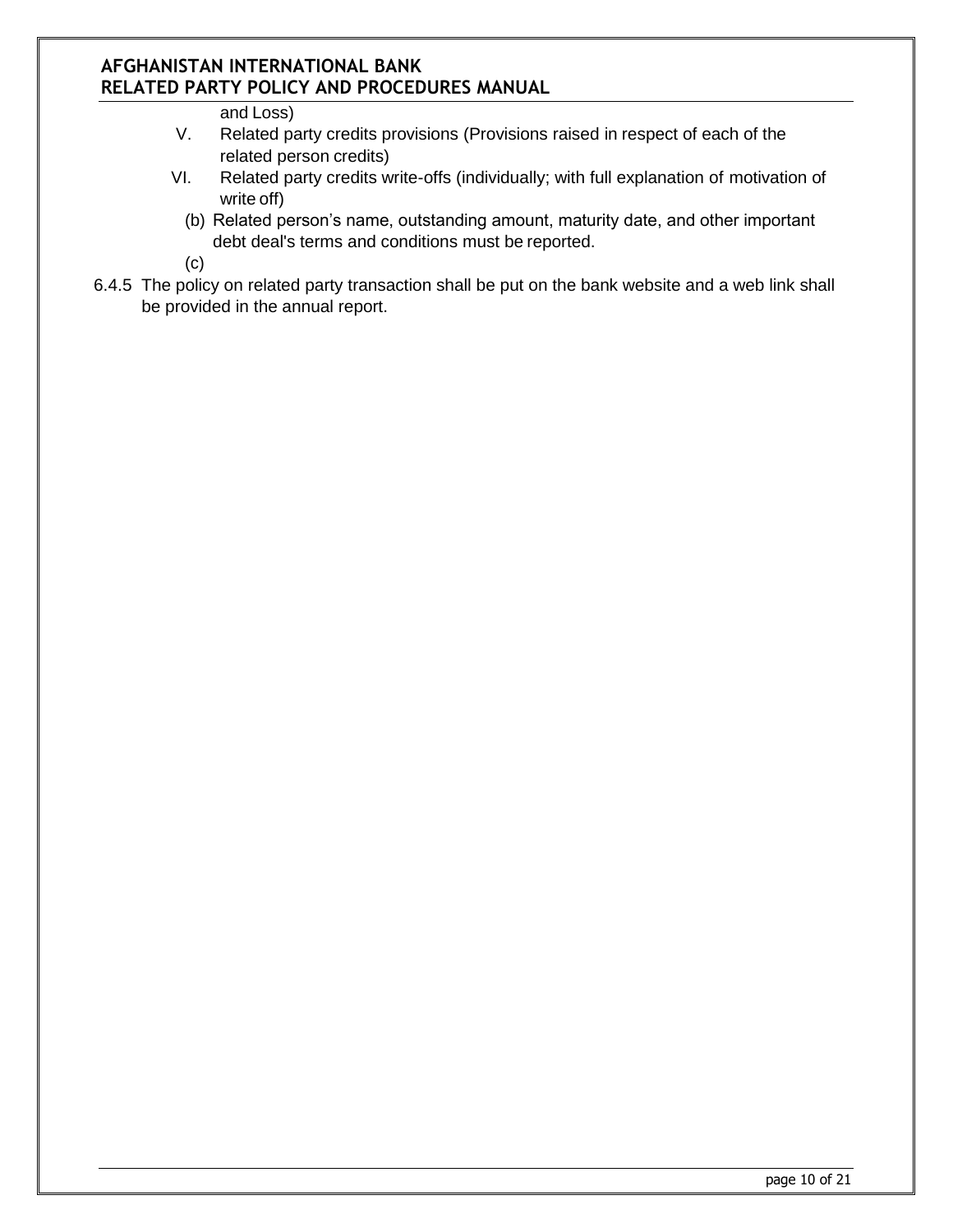and Loss)

- V. Related party credits provisions (Provisions raised in respect of each of the related person credits)
- VI. Related party credits write-offs (individually; with full explanation of motivation of write off)
	- (b) Related person's name, outstanding amount, maturity date, and other important debt deal's terms and conditions must be reported.

(c)

6.4.5 The policy on related party transaction shall be put on the bank website and a web link shall be provided in the annual report.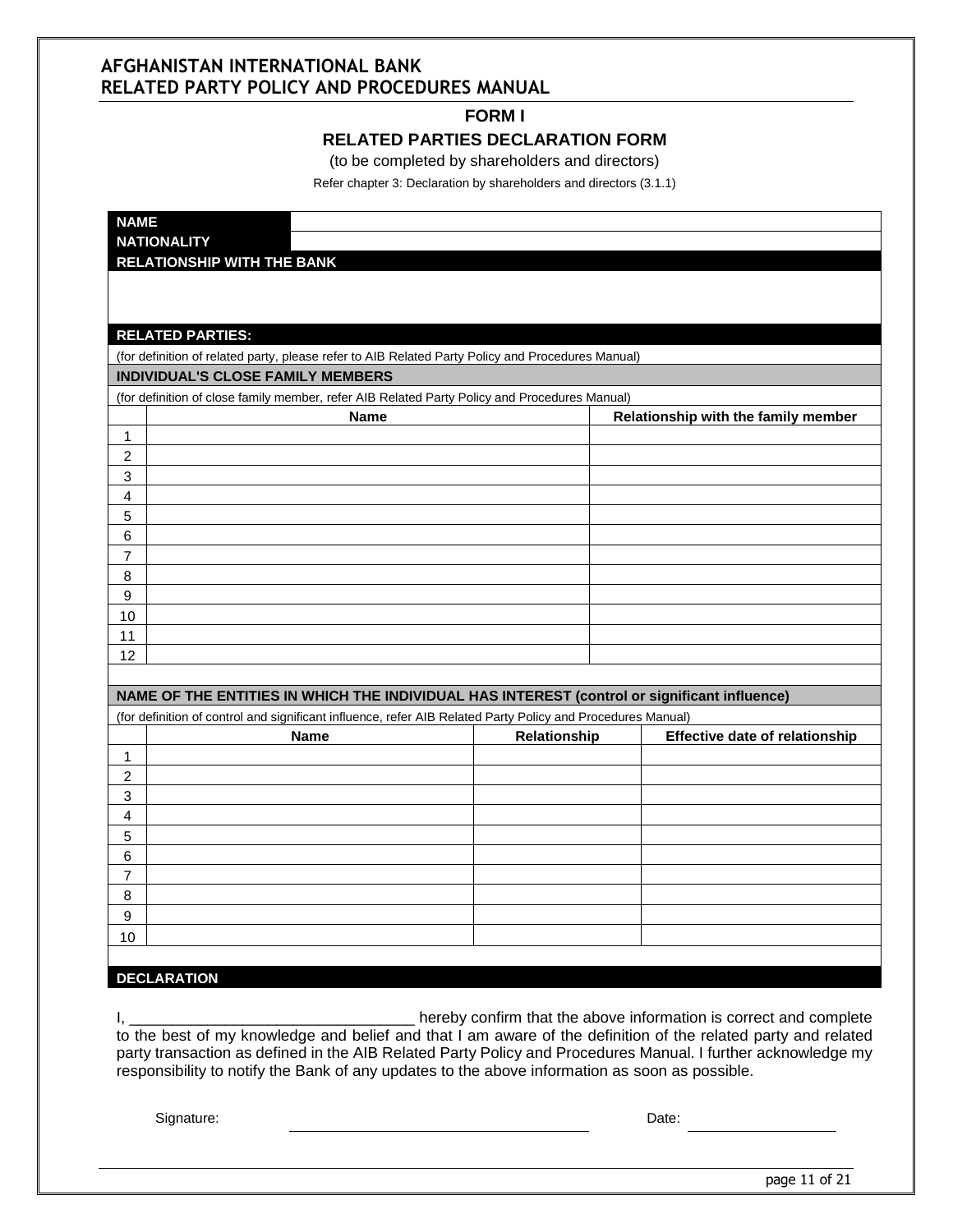#### **FORM I**

#### **RELATED PARTIES DECLARATION FORM**

(to be completed by shareholders and directors)

Refer chapter 3: Declaration by shareholders and directors (3.1.1)

| <b>NAME</b>                                                                                                                |              |                                       |
|----------------------------------------------------------------------------------------------------------------------------|--------------|---------------------------------------|
| <b>NATIONALITY</b>                                                                                                         |              |                                       |
| <b>RELATIONSHIP WITH THE BANK</b>                                                                                          |              |                                       |
|                                                                                                                            |              |                                       |
|                                                                                                                            |              |                                       |
| <b>RELATED PARTIES:</b>                                                                                                    |              |                                       |
| (for definition of related party, please refer to AIB Related Party Policy and Procedures Manual)                          |              |                                       |
| <b>INDIVIDUAL'S CLOSE FAMILY MEMBERS</b>                                                                                   |              |                                       |
| (for definition of close family member, refer AIB Related Party Policy and Procedures Manual)                              |              |                                       |
| <b>Name</b>                                                                                                                |              | Relationship with the family member   |
| 1                                                                                                                          |              |                                       |
| $\overline{2}$                                                                                                             |              |                                       |
| 3                                                                                                                          |              |                                       |
| 4                                                                                                                          |              |                                       |
| 5                                                                                                                          |              |                                       |
| 6                                                                                                                          |              |                                       |
| 7                                                                                                                          |              |                                       |
| 8                                                                                                                          |              |                                       |
| $\boldsymbol{9}$                                                                                                           |              |                                       |
| 10                                                                                                                         |              |                                       |
| 11                                                                                                                         |              |                                       |
| 12                                                                                                                         |              |                                       |
|                                                                                                                            |              |                                       |
| NAME OF THE ENTITIES IN WHICH THE INDIVIDUAL HAS INTEREST (control or significant influence)                               |              |                                       |
| (for definition of control and significant influence, refer AIB Related Party Policy and Procedures Manual)<br><b>Name</b> | Relationship | <b>Effective date of relationship</b> |
| 1                                                                                                                          |              |                                       |
| $\overline{c}$                                                                                                             |              |                                       |
| 3                                                                                                                          |              |                                       |
| 4                                                                                                                          |              |                                       |
| 5                                                                                                                          |              |                                       |
| 6                                                                                                                          |              |                                       |
| $\overline{7}$                                                                                                             |              |                                       |
| 8                                                                                                                          |              |                                       |
| 9                                                                                                                          |              |                                       |
| 10                                                                                                                         |              |                                       |
|                                                                                                                            |              |                                       |
| <b>DECLARATION</b>                                                                                                         |              |                                       |

I, \_\_\_\_\_\_\_\_\_\_\_\_\_\_\_\_\_\_\_\_\_\_\_\_\_\_\_\_\_\_\_\_\_ hereby confirm that the above information is correct and complete to the best of my knowledge and belief and that I am aware of the definition of the related party and related party transaction as defined in the AIB Related Party Policy and Procedures Manual. I further acknowledge my responsibility to notify the Bank of any updates to the above information as soon as possible.

Signature: Date: Date: Date: Date: Date: Date: Date: Date: Date: Date: Date: Date: Date: Date: Date: Date: Date: Date: Date: Date: Date: Date: Date: Date: Date: Date: Date: Date: Date: Date: Date: Date: Date: Date: Date: D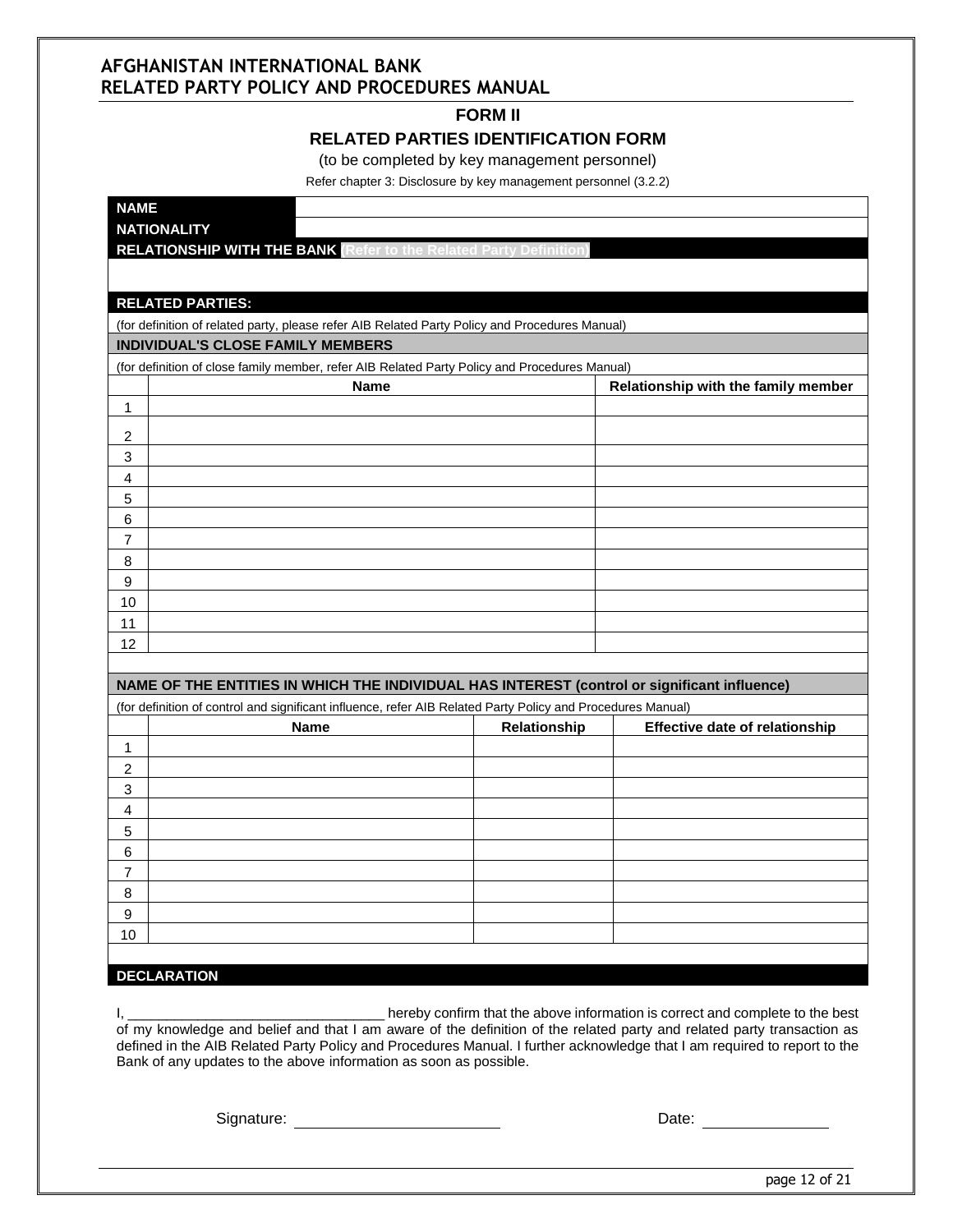#### **FORM II**

#### **RELATED PARTIES IDENTIFICATION FORM**

(to be completed by key management personnel)

Refer chapter 3: Disclosure by key management personnel (3.2.2)

| <b>NAME</b><br><b>NATIONALITY</b>                                                                                                   |              |                                       |
|-------------------------------------------------------------------------------------------------------------------------------------|--------------|---------------------------------------|
| <b>RELATIONSHIP WITH THE BANK Refer to the Related Party Definition</b>                                                             |              |                                       |
|                                                                                                                                     |              |                                       |
|                                                                                                                                     |              |                                       |
| <b>RELATED PARTIES:</b>                                                                                                             |              |                                       |
| (for definition of related party, please refer AIB Related Party Policy and Procedures Manual)<br>INDIVIDUAL'S CLOSE FAMILY MEMBERS |              |                                       |
| (for definition of close family member, refer AIB Related Party Policy and Procedures Manual)                                       |              |                                       |
| <b>Name</b>                                                                                                                         |              | Relationship with the family member   |
| $\mathbf{1}$                                                                                                                        |              |                                       |
| 2                                                                                                                                   |              |                                       |
| 3                                                                                                                                   |              |                                       |
| 4                                                                                                                                   |              |                                       |
| 5                                                                                                                                   |              |                                       |
| $\,6\,$                                                                                                                             |              |                                       |
| $\overline{7}$                                                                                                                      |              |                                       |
| $\, 8$                                                                                                                              |              |                                       |
| $\boldsymbol{9}$                                                                                                                    |              |                                       |
| 10                                                                                                                                  |              |                                       |
| 11                                                                                                                                  |              |                                       |
| 12                                                                                                                                  |              |                                       |
| NAME OF THE ENTITIES IN WHICH THE INDIVIDUAL HAS INTEREST (control or significant influence)                                        |              |                                       |
| (for definition of control and significant influence, refer AIB Related Party Policy and Procedures Manual)                         |              |                                       |
| <b>Name</b>                                                                                                                         | Relationship | <b>Effective date of relationship</b> |
| $\mathbf{1}$                                                                                                                        |              |                                       |
| $\boldsymbol{2}$                                                                                                                    |              |                                       |
| $\ensuremath{\mathsf{3}}$                                                                                                           |              |                                       |
| 4                                                                                                                                   |              |                                       |
| 5<br>6                                                                                                                              |              |                                       |
| $\overline{7}$                                                                                                                      |              |                                       |
| $\bf 8$                                                                                                                             |              |                                       |
| $\boldsymbol{9}$                                                                                                                    |              |                                       |
| 10                                                                                                                                  |              |                                       |
|                                                                                                                                     |              |                                       |
| <b>DECLARATION</b>                                                                                                                  |              |                                       |

I, **EXECUTE:** The above information is correct and complete to the best of my knowledge and belief and that I am aware of the definition of the related party and related party transaction as defined in the AIB Related Party Policy and Procedures Manual. I further acknowledge that I am required to report to the Bank of any updates to the above information as soon as possible.

Signature: Date: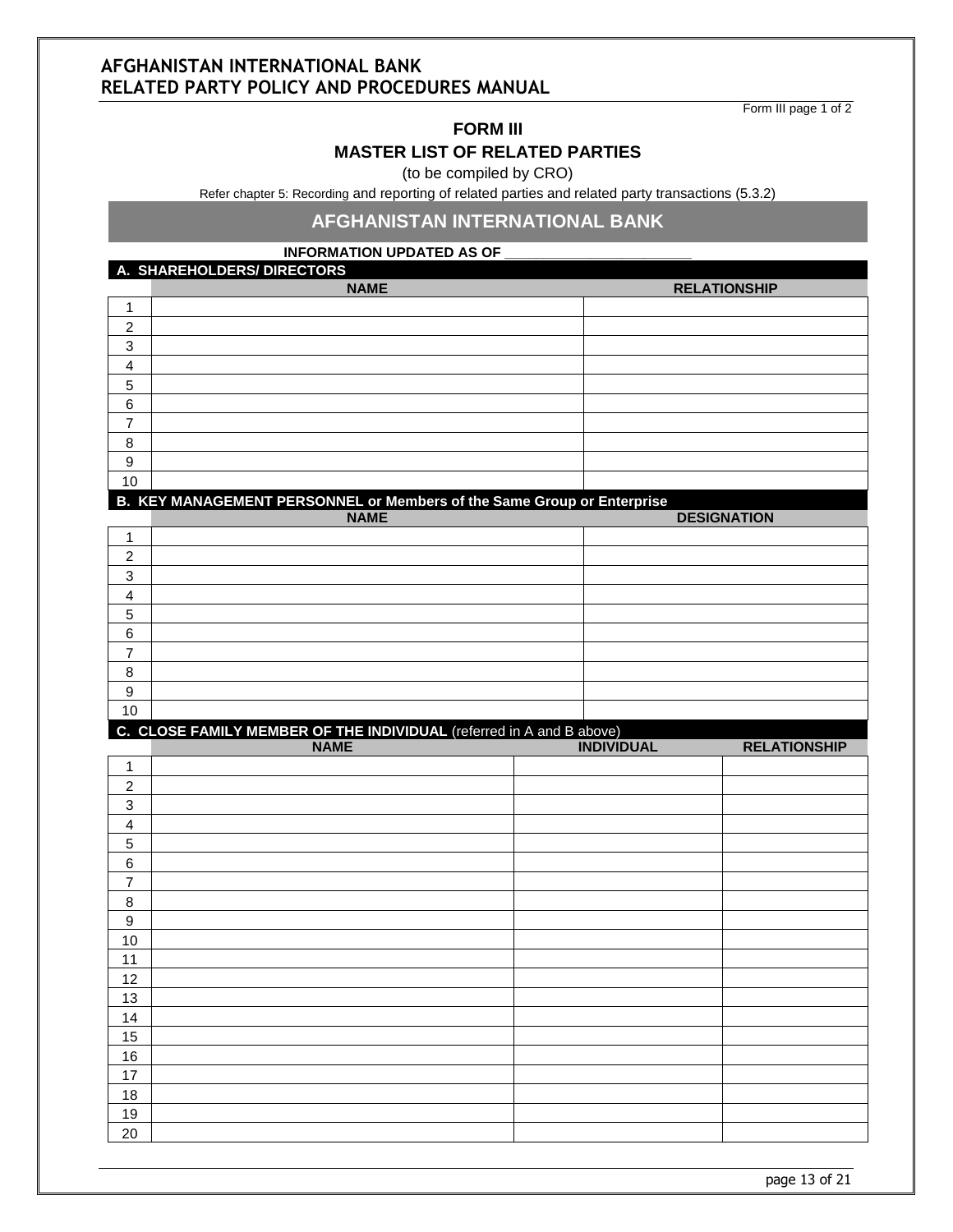Form III page 1 of 2

#### **FORM III**

#### **MASTER LIST OF RELATED PARTIES**

(to be compiled by CRO)

Refer chapter 5: Recording and reporting of related parties and related party transactions (5.3.2)

#### **AFGHANISTAN INTERNATIONAL BANK**

#### **INFORMATION UPDATED AS OF**

**A. SHAREHOLDERS/ DIRECTORS**

|        | <b>NAME</b> | <b>RELATIONSHIP</b> |
|--------|-------------|---------------------|
|        |             |                     |
| C<br>∠ |             |                     |
| 3      |             |                     |
| 4      |             |                     |
| 5      |             |                     |
| 6      |             |                     |
| ⇁      |             |                     |
| 8      |             |                     |
| 9      |             |                     |
| 10     |             |                     |

**B. KEY MANAGEMENT PERSONNEL or Members of the Same Group or Enterprise**

|    | <b>NAME</b> | <b>DESIGNATION</b> |
|----|-------------|--------------------|
|    |             |                    |
| 2  |             |                    |
| 3  |             |                    |
| 4  |             |                    |
| 5  |             |                    |
| 6  |             |                    |
| -  |             |                    |
| 8  |             |                    |
| 9  |             |                    |
| 10 |             |                    |

#### **C. CLOSE FAMILY MEMBER OF THE INDIVIDUAL** (referred in A and B above)

|                         | <b>NAME</b> | <b>INDIVIDUAL</b> | <b>RELATIONSHIP</b> |
|-------------------------|-------------|-------------------|---------------------|
| $\mathbf{1}$            |             |                   |                     |
| $\overline{c}$          |             |                   |                     |
| $\sqrt{3}$              |             |                   |                     |
| $\overline{\mathbf{4}}$ |             |                   |                     |
| $\,$ 5 $\,$             |             |                   |                     |
| 6                       |             |                   |                     |
| $\overline{7}$          |             |                   |                     |
| $\bf 8$                 |             |                   |                     |
| $\boldsymbol{9}$        |             |                   |                     |
| 10                      |             |                   |                     |
| 11                      |             |                   |                     |
| 12                      |             |                   |                     |
| 13                      |             |                   |                     |
| 14                      |             |                   |                     |
| 15                      |             |                   |                     |
| 16                      |             |                   |                     |
| 17                      |             |                   |                     |
| 18                      |             |                   |                     |
| 19                      |             |                   |                     |
| 20                      |             |                   |                     |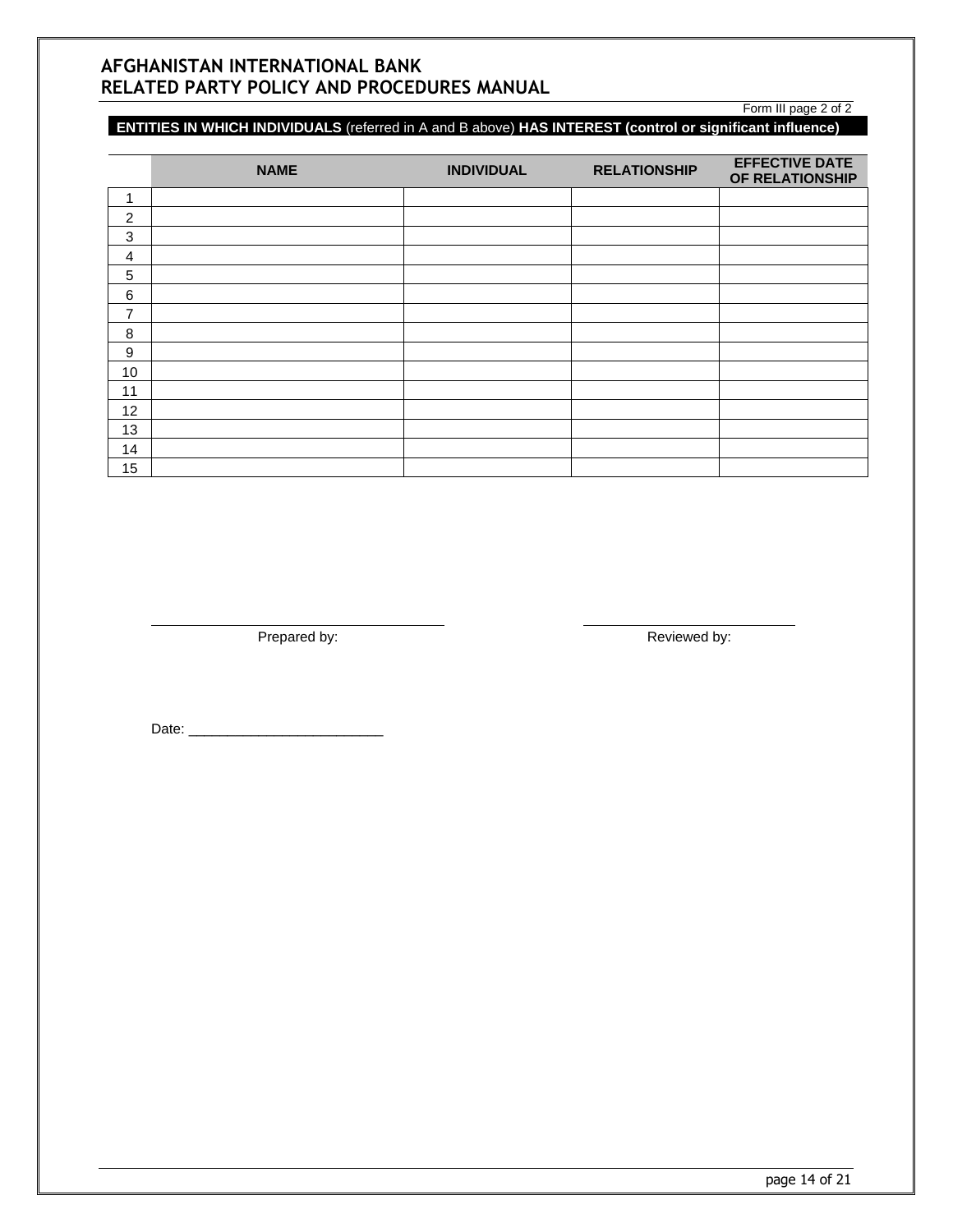#### **ENTITIES IN WHICH INDIVIDUALS** (referred in A and B above) **HAS INTEREST (control or significant influence)**

|                | <b>NAME</b> | <b>INDIVIDUAL</b> | <b>RELATIONSHIP</b> | <b>EFFECTIVE DATE</b><br>OF RELATIONSHIP |
|----------------|-------------|-------------------|---------------------|------------------------------------------|
| ٠              |             |                   |                     |                                          |
| $\overline{2}$ |             |                   |                     |                                          |
| 3              |             |                   |                     |                                          |
| 4              |             |                   |                     |                                          |
| $\sqrt{5}$     |             |                   |                     |                                          |
| 6              |             |                   |                     |                                          |
| 7              |             |                   |                     |                                          |
| 8              |             |                   |                     |                                          |
| 9              |             |                   |                     |                                          |
| 10             |             |                   |                     |                                          |
| 11             |             |                   |                     |                                          |
| 12             |             |                   |                     |                                          |
| 13             |             |                   |                     |                                          |
| 14             |             |                   |                     |                                          |
| 15             |             |                   |                     |                                          |

Prepared by: Reviewed by:

Form III page 2 of 2

Date: \_\_\_\_\_\_\_\_\_\_\_\_\_\_\_\_\_\_\_\_\_\_\_\_\_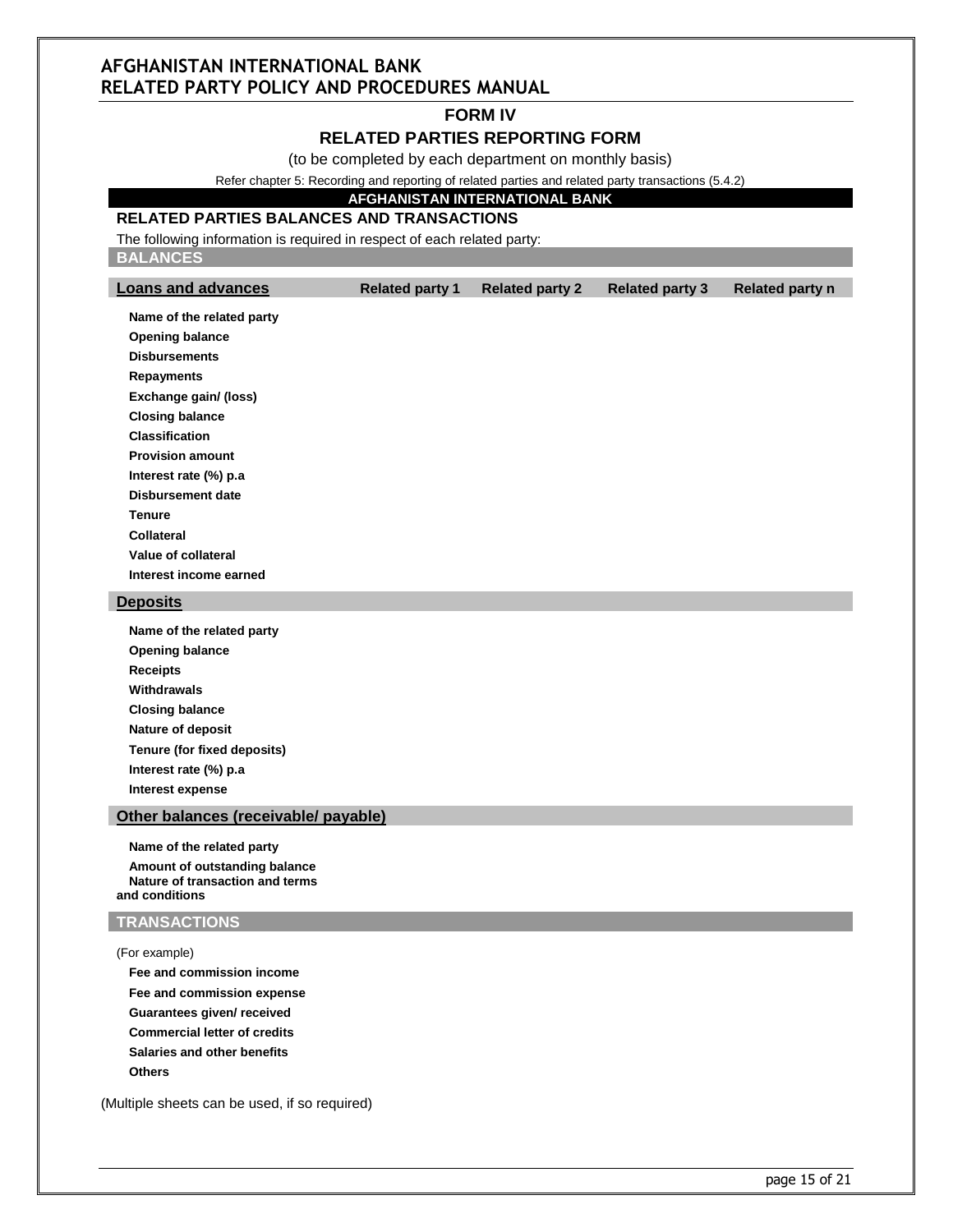#### **FORM IV**

#### **RELATED PARTIES REPORTING FORM**

(to be completed by each department on monthly basis)

Refer chapter 5: Recording and reporting of related parties and related party transactions (5.4.2)

#### **AFGHANISTAN INTERNATIONAL BANK**

#### **RELATED PARTIES BALANCES AND TRANSACTIONS**

The following information is required in respect of each related party:

**BALANCES**

| <b>Loans and advances</b>   | <b>Related party 1</b> | <b>Related party 2</b> | <b>Related party 3</b> | <b>Related party n</b> |
|-----------------------------|------------------------|------------------------|------------------------|------------------------|
| Name of the related party   |                        |                        |                        |                        |
| <b>Opening balance</b>      |                        |                        |                        |                        |
| <b>Disbursements</b>        |                        |                        |                        |                        |
| <b>Repayments</b>           |                        |                        |                        |                        |
| Exchange gain/ (loss)       |                        |                        |                        |                        |
| <b>Closing balance</b>      |                        |                        |                        |                        |
| <b>Classification</b>       |                        |                        |                        |                        |
| <b>Provision amount</b>     |                        |                        |                        |                        |
| Interest rate (%) p.a       |                        |                        |                        |                        |
| <b>Disbursement date</b>    |                        |                        |                        |                        |
| <b>Tenure</b>               |                        |                        |                        |                        |
| <b>Collateral</b>           |                        |                        |                        |                        |
| Value of collateral         |                        |                        |                        |                        |
| Interest income earned      |                        |                        |                        |                        |
| <b>Deposits</b>             |                        |                        |                        |                        |
| Name of the related party   |                        |                        |                        |                        |
| <b>Opening balance</b>      |                        |                        |                        |                        |
| <b>Receipts</b>             |                        |                        |                        |                        |
| Withdrawals                 |                        |                        |                        |                        |
| <b>Closing balance</b>      |                        |                        |                        |                        |
| Nature of deposit           |                        |                        |                        |                        |
| Tenure (for fixed deposits) |                        |                        |                        |                        |
| Interest rate (%) p.a       |                        |                        |                        |                        |
|                             |                        |                        |                        |                        |

**Interest expense**

#### **Other balances (receivable/ payable)**

**Name of the related party Amount of outstanding balance Nature of transaction and terms and conditions**

#### **TRANSACTIONS**

(For example)

**Fee and commission income Fee and commission expense Guarantees given/ received Commercial letter of credits Salaries and other benefits Others**

(Multiple sheets can be used, if so required)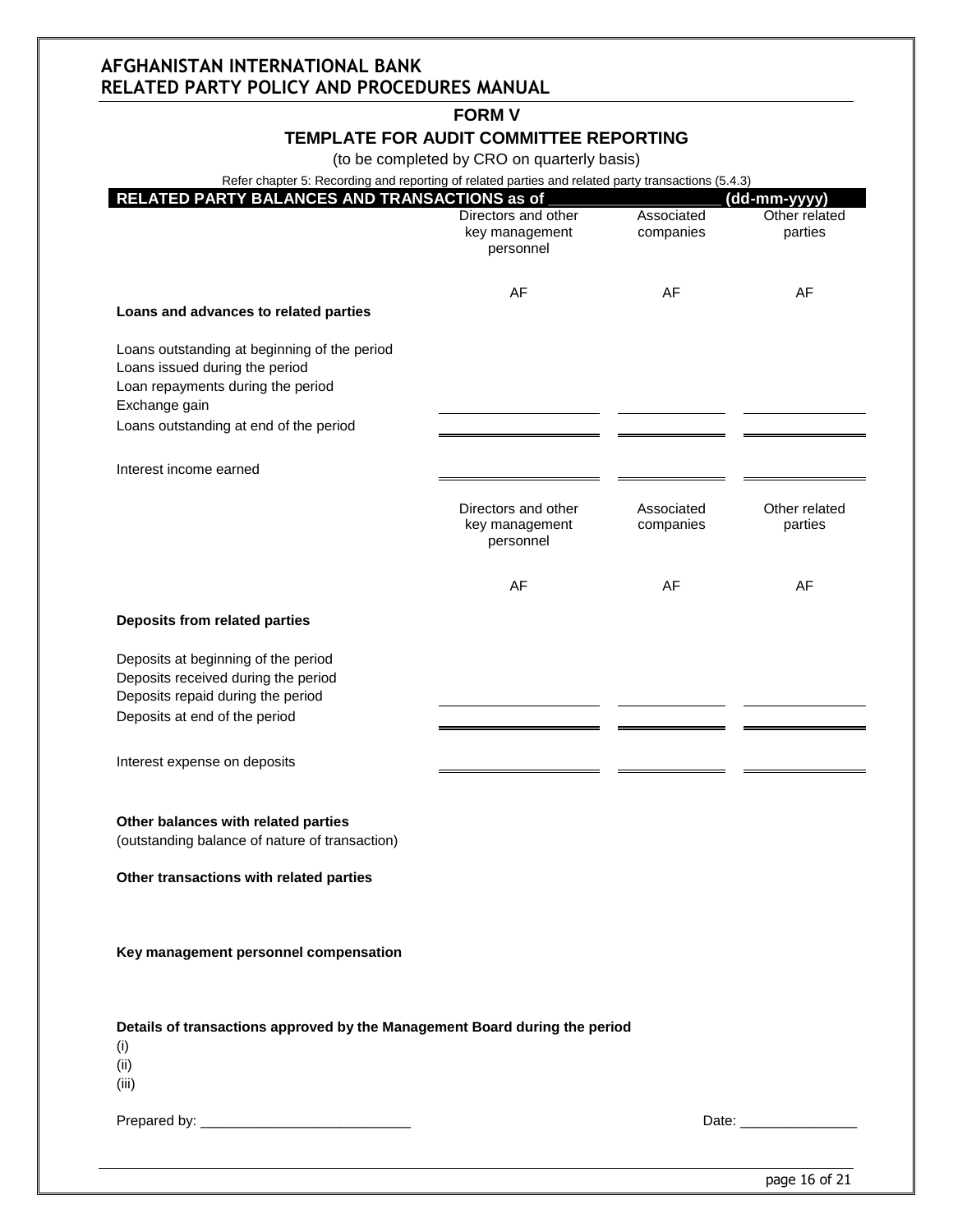### **FORM V**

#### **TEMPLATE FOR AUDIT COMMITTEE REPORTING**

(to be completed by CRO on quarterly basis)

| RELATED PARTY BALANCES AND TRANSACTIONS as of                                                                                        | Refer chapter 5: Recording and reporting of related parties and related party transactions (5.4.3) |                         | (dd-mm-yyyy)             |
|--------------------------------------------------------------------------------------------------------------------------------------|----------------------------------------------------------------------------------------------------|-------------------------|--------------------------|
|                                                                                                                                      | Directors and other<br>key management<br>personnel                                                 | Associated<br>companies | Other related<br>parties |
| Loans and advances to related parties                                                                                                | AF                                                                                                 | AF                      | AF                       |
| Loans outstanding at beginning of the period<br>Loans issued during the period<br>Loan repayments during the period<br>Exchange gain |                                                                                                    |                         |                          |
| Loans outstanding at end of the period                                                                                               |                                                                                                    |                         |                          |
| Interest income earned                                                                                                               |                                                                                                    |                         |                          |
|                                                                                                                                      | Directors and other<br>key management<br>personnel                                                 | Associated<br>companies | Other related<br>parties |
|                                                                                                                                      | AF                                                                                                 | AF                      | AF                       |
| Deposits from related parties                                                                                                        |                                                                                                    |                         |                          |
| Deposits at beginning of the period<br>Deposits received during the period<br>Deposits repaid during the period                      |                                                                                                    |                         |                          |
| Deposits at end of the period                                                                                                        |                                                                                                    |                         |                          |
| Interest expense on deposits                                                                                                         |                                                                                                    |                         |                          |
| Other balances with related parties<br>(outstanding balance of nature of transaction)                                                |                                                                                                    |                         |                          |
| Other transactions with related parties                                                                                              |                                                                                                    |                         |                          |
|                                                                                                                                      |                                                                                                    |                         |                          |
| Key management personnel compensation                                                                                                |                                                                                                    |                         |                          |
| Details of transactions approved by the Management Board during the period<br>(i)                                                    |                                                                                                    |                         |                          |
| (ii)<br>(iii)                                                                                                                        |                                                                                                    |                         |                          |